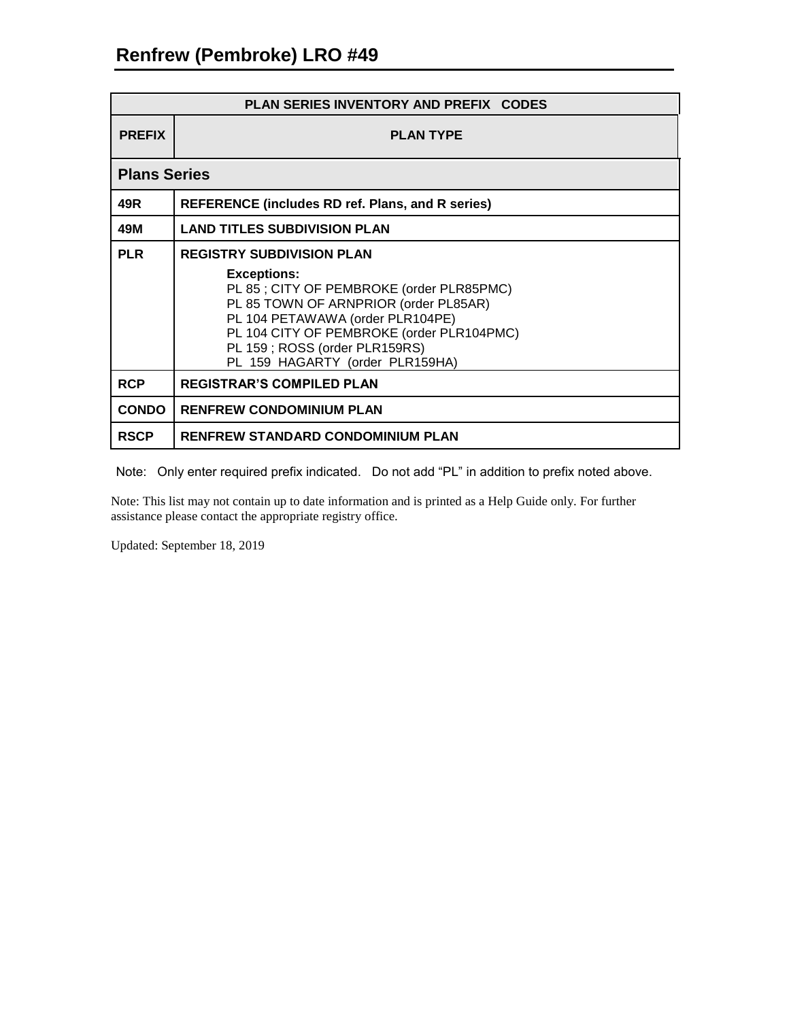| <b>PLAN SERIES INVENTORY AND PREFIX CODES</b> |                                                                                                                                                                                                                                                                                                  |  |
|-----------------------------------------------|--------------------------------------------------------------------------------------------------------------------------------------------------------------------------------------------------------------------------------------------------------------------------------------------------|--|
| <b>PREFIX</b>                                 | <b>PLAN TYPE</b>                                                                                                                                                                                                                                                                                 |  |
| <b>Plans Series</b>                           |                                                                                                                                                                                                                                                                                                  |  |
| 49R                                           | <b>REFERENCE (includes RD ref. Plans, and R series)</b>                                                                                                                                                                                                                                          |  |
| 49M                                           | <b>LAND TITLES SUBDIVISION PLAN</b>                                                                                                                                                                                                                                                              |  |
| <b>PLR</b>                                    | <b>REGISTRY SUBDIVISION PLAN</b><br><b>Exceptions:</b><br>PL 85; CITY OF PEMBROKE (order PLR85PMC)<br>PL 85 TOWN OF ARNPRIOR (order PL85AR)<br>PL 104 PETAWAWA (order PLR104PE)<br>PL 104 CITY OF PEMBROKE (order PLR104PMC)<br>PL 159; ROSS (order PLR159RS)<br>PL 159 HAGARTY (order PLR159HA) |  |
| <b>RCP</b>                                    | <b>REGISTRAR'S COMPILED PLAN</b>                                                                                                                                                                                                                                                                 |  |
| <b>CONDO</b>                                  | <b>RENFREW CONDOMINIUM PLAN</b>                                                                                                                                                                                                                                                                  |  |
| <b>RSCP</b>                                   | <b>RENFREW STANDARD CONDOMINIUM PLAN</b>                                                                                                                                                                                                                                                         |  |

Note: Only enter required prefix indicated. Do not add "PL" in addition to prefix noted above.

Note: This list may not contain up to date information and is printed as a Help Guide only. For further assistance please contact the appropriate registry office.

Updated: September 18, 2019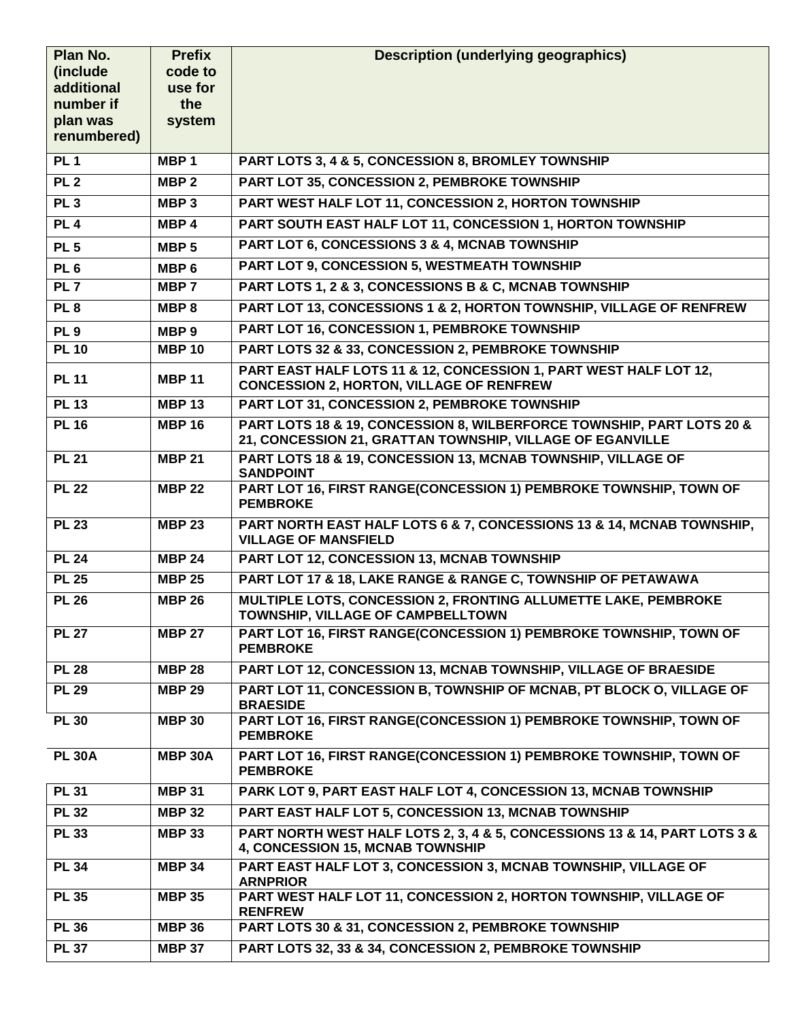| Plan No.               | <b>Prefix</b>      | <b>Description (underlying geographics)</b>                                                                                        |
|------------------------|--------------------|------------------------------------------------------------------------------------------------------------------------------------|
| (include<br>additional | code to<br>use for |                                                                                                                                    |
| number if              | the                |                                                                                                                                    |
| plan was               | system             |                                                                                                                                    |
| renumbered)            |                    |                                                                                                                                    |
| PL1                    | MBP <sub>1</sub>   | PART LOTS 3, 4 & 5, CONCESSION 8, BROMLEY TOWNSHIP                                                                                 |
| <b>PL 2</b>            | MBP <sub>2</sub>   | PART LOT 35, CONCESSION 2, PEMBROKE TOWNSHIP                                                                                       |
| PL3                    | MBP <sub>3</sub>   | PART WEST HALF LOT 11, CONCESSION 2, HORTON TOWNSHIP                                                                               |
| PL4                    | MBP <sub>4</sub>   | PART SOUTH EAST HALF LOT 11, CONCESSION 1, HORTON TOWNSHIP                                                                         |
| <b>PL 5</b>            | MBP <sub>5</sub>   | PART LOT 6, CONCESSIONS 3 & 4, MCNAB TOWNSHIP                                                                                      |
| PL <sub>6</sub>        | MBP <sub>6</sub>   | <b>PART LOT 9, CONCESSION 5, WESTMEATH TOWNSHIP</b>                                                                                |
| PL <sub>7</sub>        | MBP 7              | PART LOTS 1, 2 & 3, CONCESSIONS B & C, MCNAB TOWNSHIP                                                                              |
| PL <sub>8</sub>        | MBP <sub>8</sub>   | PART LOT 13, CONCESSIONS 1 & 2, HORTON TOWNSHIP, VILLAGE OF RENFREW                                                                |
| PL <sub>9</sub>        | MBP <sub>9</sub>   | PART LOT 16, CONCESSION 1, PEMBROKE TOWNSHIP                                                                                       |
| <b>PL 10</b>           | <b>MBP 10</b>      | PART LOTS 32 & 33, CONCESSION 2, PEMBROKE TOWNSHIP                                                                                 |
| <b>PL 11</b>           | <b>MBP 11</b>      | PART EAST HALF LOTS 11 & 12, CONCESSION 1, PART WEST HALF LOT 12,<br><b>CONCESSION 2, HORTON, VILLAGE OF RENFREW</b>               |
| PL 13                  | <b>MBP 13</b>      | PART LOT 31, CONCESSION 2, PEMBROKE TOWNSHIP                                                                                       |
| <b>PL 16</b>           | <b>MBP 16</b>      | PART LOTS 18 & 19, CONCESSION 8, WILBERFORCE TOWNSHIP, PART LOTS 20 &<br>21, CONCESSION 21, GRATTAN TOWNSHIP, VILLAGE OF EGANVILLE |
| <b>PL 21</b>           | <b>MBP 21</b>      | PART LOTS 18 & 19, CONCESSION 13, MCNAB TOWNSHIP, VILLAGE OF<br><b>SANDPOINT</b>                                                   |
| <b>PL 22</b>           | <b>MBP 22</b>      | PART LOT 16, FIRST RANGE(CONCESSION 1) PEMBROKE TOWNSHIP, TOWN OF<br><b>PEMBROKE</b>                                               |
| <b>PL 23</b>           | <b>MBP 23</b>      | PART NORTH EAST HALF LOTS 6 & 7, CONCESSIONS 13 & 14, MCNAB TOWNSHIP,<br><b>VILLAGE OF MANSFIELD</b>                               |
| <b>PL 24</b>           | <b>MBP 24</b>      | PART LOT 12, CONCESSION 13, MCNAB TOWNSHIP                                                                                         |
| <b>PL 25</b>           | <b>MBP 25</b>      | PART LOT 17 & 18, LAKE RANGE & RANGE C, TOWNSHIP OF PETAWAWA                                                                       |
| <b>PL 26</b>           | <b>MBP 26</b>      | MULTIPLE LOTS, CONCESSION 2, FRONTING ALLUMETTE LAKE, PEMBROKE<br>TOWNSHIP, VILLAGE OF CAMPBELLTOWN                                |
| <b>PL 27</b>           | <b>MBP 27</b>      | PART LOT 16, FIRST RANGE(CONCESSION 1) PEMBROKE TOWNSHIP, TOWN OF<br><b>PEMBROKE</b>                                               |
| <b>PL 28</b>           | <b>MBP 28</b>      | PART LOT 12, CONCESSION 13, MCNAB TOWNSHIP, VILLAGE OF BRAESIDE                                                                    |
| <b>PL 29</b>           | <b>MBP 29</b>      | PART LOT 11, CONCESSION B, TOWNSHIP OF MCNAB, PT BLOCK O, VILLAGE OF<br><b>BRAESIDE</b>                                            |
| <b>PL 30</b>           | <b>MBP 30</b>      | PART LOT 16, FIRST RANGE(CONCESSION 1) PEMBROKE TOWNSHIP, TOWN OF<br><b>PEMBROKE</b>                                               |
| <b>PL 30A</b>          | <b>MBP 30A</b>     | PART LOT 16, FIRST RANGE(CONCESSION 1) PEMBROKE TOWNSHIP, TOWN OF<br><b>PEMBROKE</b>                                               |
| <b>PL 31</b>           | <b>MBP 31</b>      | PARK LOT 9, PART EAST HALF LOT 4, CONCESSION 13, MCNAB TOWNSHIP                                                                    |
| <b>PL 32</b>           | <b>MBP 32</b>      | PART EAST HALF LOT 5, CONCESSION 13, MCNAB TOWNSHIP                                                                                |
| <b>PL 33</b>           | <b>MBP 33</b>      | PART NORTH WEST HALF LOTS 2, 3, 4 & 5, CONCESSIONS 13 & 14, PART LOTS 3 &<br>4, CONCESSION 15, MCNAB TOWNSHIP                      |
| <b>PL 34</b>           | <b>MBP 34</b>      | PART EAST HALF LOT 3, CONCESSION 3, MCNAB TOWNSHIP, VILLAGE OF<br><b>ARNPRIOR</b>                                                  |
| <b>PL 35</b>           | <b>MBP 35</b>      | PART WEST HALF LOT 11, CONCESSION 2, HORTON TOWNSHIP, VILLAGE OF<br><b>RENFREW</b>                                                 |
| <b>PL 36</b>           | <b>MBP 36</b>      | <b>PART LOTS 30 &amp; 31, CONCESSION 2, PEMBROKE TOWNSHIP</b>                                                                      |
| <b>PL 37</b>           | <b>MBP 37</b>      | PART LOTS 32, 33 & 34, CONCESSION 2, PEMBROKE TOWNSHIP                                                                             |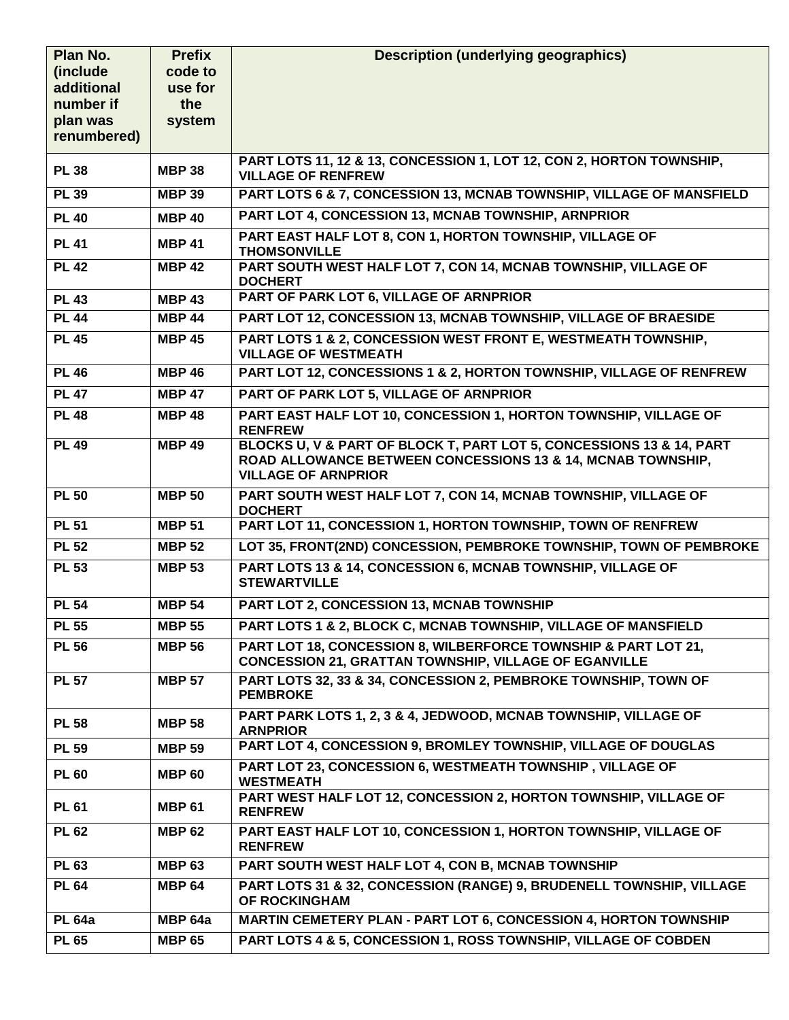| Plan No.              | <b>Prefix</b>  | <b>Description (underlying geographics)</b>                                                                                         |
|-----------------------|----------------|-------------------------------------------------------------------------------------------------------------------------------------|
| (include              | code to        |                                                                                                                                     |
| additional            | use for        |                                                                                                                                     |
| number if<br>plan was | the<br>system  |                                                                                                                                     |
| renumbered)           |                |                                                                                                                                     |
|                       |                |                                                                                                                                     |
| <b>PL 38</b>          | <b>MBP 38</b>  | PART LOTS 11, 12 & 13, CONCESSION 1, LOT 12, CON 2, HORTON TOWNSHIP,<br><b>VILLAGE OF RENFREW</b>                                   |
| <b>PL 39</b>          | <b>MBP 39</b>  | PART LOTS 6 & 7, CONCESSION 13, MCNAB TOWNSHIP, VILLAGE OF MANSFIELD                                                                |
| <b>PL 40</b>          | <b>MBP 40</b>  | PART LOT 4, CONCESSION 13, MCNAB TOWNSHIP, ARNPRIOR                                                                                 |
| <b>PL 41</b>          | <b>MBP 41</b>  | PART EAST HALF LOT 8, CON 1, HORTON TOWNSHIP, VILLAGE OF<br><b>THOMSONVILLE</b>                                                     |
| <b>PL 42</b>          | <b>MBP 42</b>  | PART SOUTH WEST HALF LOT 7, CON 14, MCNAB TOWNSHIP, VILLAGE OF<br><b>DOCHERT</b>                                                    |
| <b>PL 43</b>          | <b>MBP 43</b>  | PART OF PARK LOT 6, VILLAGE OF ARNPRIOR                                                                                             |
| <b>PL 44</b>          | <b>MBP 44</b>  | PART LOT 12, CONCESSION 13, MCNAB TOWNSHIP, VILLAGE OF BRAESIDE                                                                     |
| <b>PL 45</b>          | <b>MBP 45</b>  | PART LOTS 1 & 2, CONCESSION WEST FRONT E, WESTMEATH TOWNSHIP,<br><b>VILLAGE OF WESTMEATH</b>                                        |
| <b>PL 46</b>          | <b>MBP 46</b>  | PART LOT 12, CONCESSIONS 1 & 2, HORTON TOWNSHIP, VILLAGE OF RENFREW                                                                 |
| <b>PL 47</b>          | <b>MBP 47</b>  | PART OF PARK LOT 5, VILLAGE OF ARNPRIOR                                                                                             |
| <b>PL 48</b>          | <b>MBP 48</b>  | PART EAST HALF LOT 10, CONCESSION 1, HORTON TOWNSHIP, VILLAGE OF                                                                    |
|                       |                | <b>RENFREW</b>                                                                                                                      |
| <b>PL 49</b>          | <b>MBP 49</b>  | BLOCKS U, V & PART OF BLOCK T, PART LOT 5, CONCESSIONS 13 & 14, PART<br>ROAD ALLOWANCE BETWEEN CONCESSIONS 13 & 14, MCNAB TOWNSHIP, |
|                       |                | <b>VILLAGE OF ARNPRIOR</b>                                                                                                          |
| <b>PL 50</b>          | <b>MBP 50</b>  | PART SOUTH WEST HALF LOT 7, CON 14, MCNAB TOWNSHIP, VILLAGE OF                                                                      |
|                       |                | <b>DOCHERT</b>                                                                                                                      |
| <b>PL 51</b>          | <b>MBP 51</b>  | PART LOT 11, CONCESSION 1, HORTON TOWNSHIP, TOWN OF RENFREW                                                                         |
| <b>PL 52</b>          | <b>MBP 52</b>  | LOT 35, FRONT(2ND) CONCESSION, PEMBROKE TOWNSHIP, TOWN OF PEMBROKE                                                                  |
| <b>PL 53</b>          | <b>MBP 53</b>  | PART LOTS 13 & 14, CONCESSION 6, MCNAB TOWNSHIP, VILLAGE OF<br><b>STEWARTVILLE</b>                                                  |
| <b>PL 54</b>          | <b>MBP 54</b>  | PART LOT 2, CONCESSION 13, MCNAB TOWNSHIP                                                                                           |
| <b>PL 55</b>          | <b>MBP 55</b>  | PART LOTS 1 & 2, BLOCK C, MCNAB TOWNSHIP, VILLAGE OF MANSFIELD                                                                      |
| <b>PL 56</b>          | <b>MBP 56</b>  | PART LOT 18, CONCESSION 8, WILBERFORCE TOWNSHIP & PART LOT 21,<br><b>CONCESSION 21, GRATTAN TOWNSHIP, VILLAGE OF EGANVILLE</b>      |
| <b>PL 57</b>          | <b>MBP 57</b>  | PART LOTS 32, 33 & 34, CONCESSION 2, PEMBROKE TOWNSHIP, TOWN OF                                                                     |
|                       |                | <b>PEMBROKE</b>                                                                                                                     |
| <b>PL 58</b>          | <b>MBP 58</b>  | PART PARK LOTS 1, 2, 3 & 4, JEDWOOD, MCNAB TOWNSHIP, VILLAGE OF<br><b>ARNPRIOR</b>                                                  |
| <b>PL 59</b>          | <b>MBP 59</b>  | PART LOT 4, CONCESSION 9, BROMLEY TOWNSHIP, VILLAGE OF DOUGLAS                                                                      |
| <b>PL 60</b>          | <b>MBP 60</b>  | PART LOT 23, CONCESSION 6, WESTMEATH TOWNSHIP, VILLAGE OF<br><b>WESTMEATH</b>                                                       |
| <b>PL 61</b>          | <b>MBP 61</b>  | PART WEST HALF LOT 12, CONCESSION 2, HORTON TOWNSHIP, VILLAGE OF<br><b>RENFREW</b>                                                  |
| <b>PL 62</b>          | <b>MBP 62</b>  | PART EAST HALF LOT 10, CONCESSION 1, HORTON TOWNSHIP, VILLAGE OF<br><b>RENFREW</b>                                                  |
| <b>PL 63</b>          | <b>MBP 63</b>  | PART SOUTH WEST HALF LOT 4, CON B, MCNAB TOWNSHIP                                                                                   |
| <b>PL 64</b>          | <b>MBP 64</b>  | PART LOTS 31 & 32, CONCESSION (RANGE) 9, BRUDENELL TOWNSHIP, VILLAGE                                                                |
|                       |                | OF ROCKINGHAM                                                                                                                       |
| <b>PL 64a</b>         | <b>MBP 64a</b> | <b>MARTIN CEMETERY PLAN - PART LOT 6, CONCESSION 4, HORTON TOWNSHIP</b>                                                             |
| <b>PL 65</b>          | <b>MBP 65</b>  | PART LOTS 4 & 5, CONCESSION 1, ROSS TOWNSHIP, VILLAGE OF COBDEN                                                                     |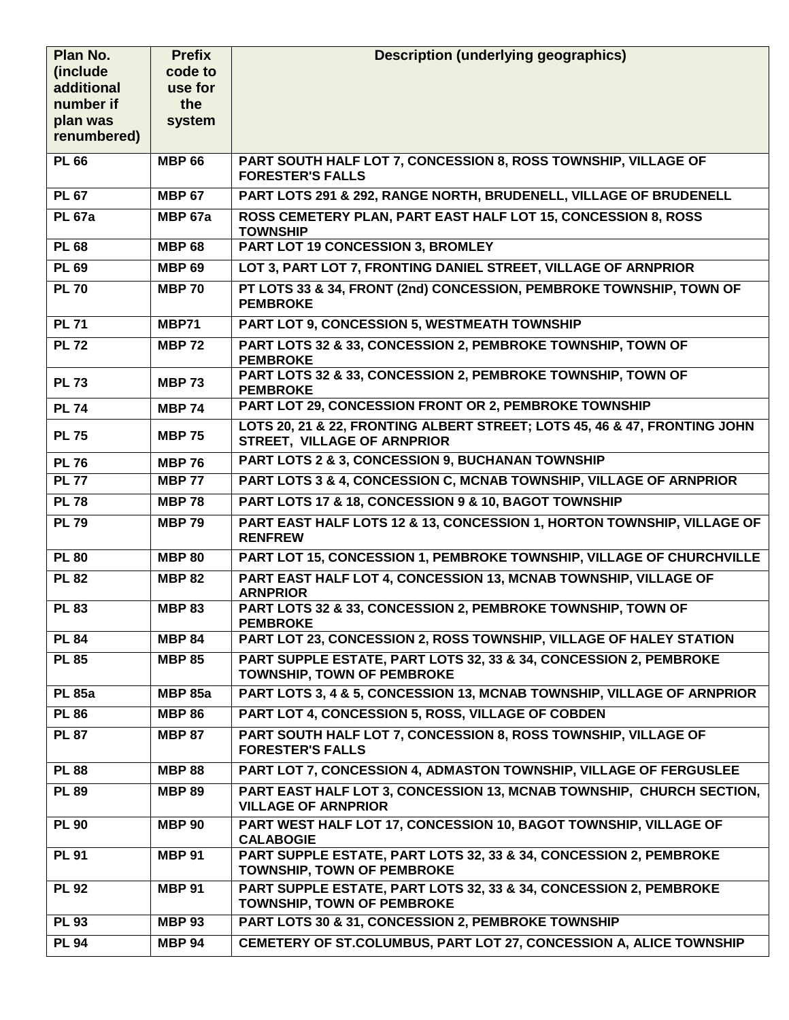| Plan No.                | <b>Prefix</b>  | <b>Description (underlying geographics)</b>                                                              |
|-------------------------|----------------|----------------------------------------------------------------------------------------------------------|
| (include                | code to        |                                                                                                          |
| additional              | use for        |                                                                                                          |
| number if               | the            |                                                                                                          |
| plan was<br>renumbered) | system         |                                                                                                          |
|                         |                |                                                                                                          |
| <b>PL 66</b>            | <b>MBP 66</b>  | PART SOUTH HALF LOT 7, CONCESSION 8, ROSS TOWNSHIP, VILLAGE OF<br><b>FORESTER'S FALLS</b>                |
| <b>PL 67</b>            | <b>MBP 67</b>  | PART LOTS 291 & 292, RANGE NORTH, BRUDENELL, VILLAGE OF BRUDENELL                                        |
| <b>PL 67a</b>           | <b>MBP 67a</b> | ROSS CEMETERY PLAN, PART EAST HALF LOT 15, CONCESSION 8, ROSS<br><b>TOWNSHIP</b>                         |
| <b>PL 68</b>            | <b>MBP 68</b>  | <b>PART LOT 19 CONCESSION 3, BROMLEY</b>                                                                 |
| <b>PL 69</b>            | <b>MBP 69</b>  | LOT 3, PART LOT 7, FRONTING DANIEL STREET, VILLAGE OF ARNPRIOR                                           |
| <b>PL 70</b>            | <b>MBP 70</b>  | PT LOTS 33 & 34, FRONT (2nd) CONCESSION, PEMBROKE TOWNSHIP, TOWN OF<br><b>PEMBROKE</b>                   |
| <b>PL 71</b>            | MBP71          | <b>PART LOT 9, CONCESSION 5, WESTMEATH TOWNSHIP</b>                                                      |
| <b>PL 72</b>            | <b>MBP 72</b>  | PART LOTS 32 & 33, CONCESSION 2, PEMBROKE TOWNSHIP, TOWN OF<br><b>PEMBROKE</b>                           |
| <b>PL 73</b>            | <b>MBP 73</b>  | PART LOTS 32 & 33, CONCESSION 2, PEMBROKE TOWNSHIP, TOWN OF<br><b>PEMBROKE</b>                           |
| <b>PL 74</b>            | <b>MBP 74</b>  | PART LOT 29, CONCESSION FRONT OR 2, PEMBROKE TOWNSHIP                                                    |
| <b>PL 75</b>            | <b>MBP 75</b>  | LOTS 20, 21 & 22, FRONTING ALBERT STREET; LOTS 45, 46 & 47, FRONTING JOHN<br>STREET, VILLAGE OF ARNPRIOR |
| <b>PL 76</b>            | <b>MBP 76</b>  | PART LOTS 2 & 3, CONCESSION 9, BUCHANAN TOWNSHIP                                                         |
| <b>PL 77</b>            | <b>MBP 77</b>  | PART LOTS 3 & 4, CONCESSION C, MCNAB TOWNSHIP, VILLAGE OF ARNPRIOR                                       |
| <b>PL 78</b>            | <b>MBP78</b>   | PART LOTS 17 & 18, CONCESSION 9 & 10, BAGOT TOWNSHIP                                                     |
| <b>PL 79</b>            | <b>MBP 79</b>  | PART EAST HALF LOTS 12 & 13, CONCESSION 1, HORTON TOWNSHIP, VILLAGE OF<br><b>RENFREW</b>                 |
| <b>PL 80</b>            | <b>MBP 80</b>  | PART LOT 15, CONCESSION 1, PEMBROKE TOWNSHIP, VILLAGE OF CHURCHVILLE                                     |
| <b>PL 82</b>            | <b>MBP 82</b>  | PART EAST HALF LOT 4, CONCESSION 13, MCNAB TOWNSHIP, VILLAGE OF<br><b>ARNPRIOR</b>                       |
| <b>PL 83</b>            | <b>MBP 83</b>  | PART LOTS 32 & 33, CONCESSION 2, PEMBROKE TOWNSHIP, TOWN OF<br><b>PEMBROKE</b>                           |
| <b>PL 84</b>            | <b>MBP 84</b>  | PART LOT 23, CONCESSION 2, ROSS TOWNSHIP, VILLAGE OF HALEY STATION                                       |
| <b>PL 85</b>            | <b>MBP 85</b>  | PART SUPPLE ESTATE, PART LOTS 32, 33 & 34, CONCESSION 2, PEMBROKE<br><b>TOWNSHIP, TOWN OF PEMBROKE</b>   |
| <b>PL 85a</b>           | <b>MBP 85a</b> | PART LOTS 3, 4 & 5, CONCESSION 13, MCNAB TOWNSHIP, VILLAGE OF ARNPRIOR                                   |
| <b>PL 86</b>            | <b>MBP 86</b>  | PART LOT 4, CONCESSION 5, ROSS, VILLAGE OF COBDEN                                                        |
| <b>PL 87</b>            | <b>MBP 87</b>  | PART SOUTH HALF LOT 7, CONCESSION 8, ROSS TOWNSHIP, VILLAGE OF<br><b>FORESTER'S FALLS</b>                |
| <b>PL 88</b>            | <b>MBP 88</b>  | PART LOT 7, CONCESSION 4, ADMASTON TOWNSHIP, VILLAGE OF FERGUSLEE                                        |
| <b>PL 89</b>            | <b>MBP 89</b>  | PART EAST HALF LOT 3, CONCESSION 13, MCNAB TOWNSHIP, CHURCH SECTION,                                     |
|                         |                | <b>VILLAGE OF ARNPRIOR</b>                                                                               |
| <b>PL 90</b>            | <b>MBP 90</b>  | PART WEST HALF LOT 17, CONCESSION 10, BAGOT TOWNSHIP, VILLAGE OF<br><b>CALABOGIE</b>                     |
| <b>PL 91</b>            | <b>MBP 91</b>  | PART SUPPLE ESTATE, PART LOTS 32, 33 & 34, CONCESSION 2, PEMBROKE<br><b>TOWNSHIP, TOWN OF PEMBROKE</b>   |
| <b>PL 92</b>            | <b>MBP 91</b>  | PART SUPPLE ESTATE, PART LOTS 32, 33 & 34, CONCESSION 2, PEMBROKE<br><b>TOWNSHIP, TOWN OF PEMBROKE</b>   |
| <b>PL 93</b>            | <b>MBP 93</b>  | PART LOTS 30 & 31, CONCESSION 2, PEMBROKE TOWNSHIP                                                       |
| <b>PL 94</b>            | <b>MBP 94</b>  | CEMETERY OF ST.COLUMBUS, PART LOT 27, CONCESSION A, ALICE TOWNSHIP                                       |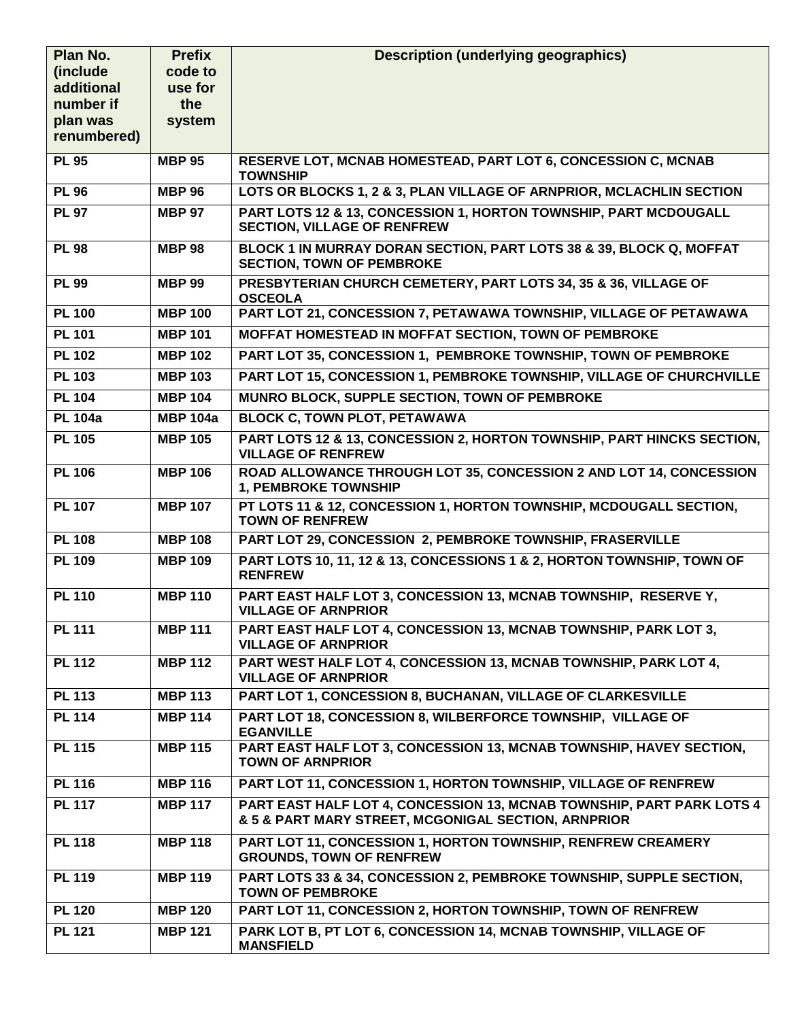| Plan No.                | <b>Prefix</b>   | <b>Description (underlying geographics)</b>                                                                                  |
|-------------------------|-----------------|------------------------------------------------------------------------------------------------------------------------------|
| (include)               | code to         |                                                                                                                              |
| additional              | use for         |                                                                                                                              |
| number if               | the             |                                                                                                                              |
| plan was<br>renumbered) | system          |                                                                                                                              |
|                         |                 |                                                                                                                              |
| <b>PL 95</b>            | <b>MBP 95</b>   | RESERVE LOT, MCNAB HOMESTEAD, PART LOT 6, CONCESSION C, MCNAB<br><b>TOWNSHIP</b>                                             |
| <b>PL 96</b>            | <b>MBP 96</b>   | LOTS OR BLOCKS 1, 2 & 3, PLAN VILLAGE OF ARNPRIOR, MCLACHLIN SECTION                                                         |
| <b>PL 97</b>            | <b>MBP 97</b>   | PART LOTS 12 & 13, CONCESSION 1, HORTON TOWNSHIP, PART MCDOUGALL<br><b>SECTION, VILLAGE OF RENFREW</b>                       |
| <b>PL 98</b>            | <b>MBP 98</b>   | BLOCK 1 IN MURRAY DORAN SECTION, PART LOTS 38 & 39, BLOCK Q, MOFFAT<br><b>SECTION, TOWN OF PEMBROKE</b>                      |
| <b>PL 99</b>            | <b>MBP 99</b>   | PRESBYTERIAN CHURCH CEMETERY, PART LOTS 34, 35 & 36, VILLAGE OF<br><b>OSCEOLA</b>                                            |
| <b>PL 100</b>           | <b>MBP 100</b>  | PART LOT 21, CONCESSION 7, PETAWAWA TOWNSHIP, VILLAGE OF PETAWAWA                                                            |
| <b>PL 101</b>           | <b>MBP 101</b>  | <b>MOFFAT HOMESTEAD IN MOFFAT SECTION, TOWN OF PEMBROKE</b>                                                                  |
| <b>PL 102</b>           | <b>MBP 102</b>  | PART LOT 35, CONCESSION 1, PEMBROKE TOWNSHIP, TOWN OF PEMBROKE                                                               |
| <b>PL 103</b>           | <b>MBP 103</b>  | PART LOT 15, CONCESSION 1, PEMBROKE TOWNSHIP, VILLAGE OF CHURCHVILLE                                                         |
| <b>PL 104</b>           | <b>MBP 104</b>  | MUNRO BLOCK, SUPPLE SECTION, TOWN OF PEMBROKE                                                                                |
| <b>PL 104a</b>          | <b>MBP 104a</b> | <b>BLOCK C, TOWN PLOT, PETAWAWA</b>                                                                                          |
| <b>PL 105</b>           | <b>MBP 105</b>  | PART LOTS 12 & 13, CONCESSION 2, HORTON TOWNSHIP, PART HINCKS SECTION,<br><b>VILLAGE OF RENFREW</b>                          |
| <b>PL 106</b>           | <b>MBP 106</b>  | ROAD ALLOWANCE THROUGH LOT 35, CONCESSION 2 AND LOT 14, CONCESSION<br>1, PEMBROKE TOWNSHIP                                   |
| <b>PL 107</b>           | <b>MBP 107</b>  | PT LOTS 11 & 12, CONCESSION 1, HORTON TOWNSHIP, MCDOUGALL SECTION,<br><b>TOWN OF RENFREW</b>                                 |
| <b>PL 108</b>           | <b>MBP 108</b>  | PART LOT 29, CONCESSION 2, PEMBROKE TOWNSHIP, FRASERVILLE                                                                    |
| <b>PL 109</b>           | <b>MBP 109</b>  | PART LOTS 10, 11, 12 & 13, CONCESSIONS 1 & 2, HORTON TOWNSHIP, TOWN OF<br><b>RENFREW</b>                                     |
| <b>PL 110</b>           | <b>MBP 110</b>  | PART EAST HALF LOT 3, CONCESSION 13, MCNAB TOWNSHIP, RESERVE Y,<br><b>VILLAGE OF ARNPRIOR</b>                                |
| <b>PL 111</b>           | <b>MBP 111</b>  | PART EAST HALF LOT 4, CONCESSION 13, MCNAB TOWNSHIP, PARK LOT 3,<br><b>VILLAGE OF ARNPRIOR</b>                               |
| <b>PL 112</b>           | <b>MBP 112</b>  | PART WEST HALF LOT 4, CONCESSION 13, MCNAB TOWNSHIP, PARK LOT 4.<br><b>VILLAGE OF ARNPRIOR</b>                               |
| <b>PL 113</b>           | <b>MBP 113</b>  | PART LOT 1, CONCESSION 8, BUCHANAN, VILLAGE OF CLARKESVILLE                                                                  |
| <b>PL 114</b>           | <b>MBP 114</b>  | PART LOT 18, CONCESSION 8, WILBERFORCE TOWNSHIP, VILLAGE OF<br><b>EGANVILLE</b>                                              |
| <b>PL 115</b>           | <b>MBP 115</b>  | PART EAST HALF LOT 3, CONCESSION 13, MCNAB TOWNSHIP, HAVEY SECTION,<br><b>TOWN OF ARNPRIOR</b>                               |
| <b>PL 116</b>           | <b>MBP 116</b>  | PART LOT 11, CONCESSION 1, HORTON TOWNSHIP, VILLAGE OF RENFREW                                                               |
| <b>PL 117</b>           | <b>MBP 117</b>  | PART EAST HALF LOT 4, CONCESSION 13, MCNAB TOWNSHIP, PART PARK LOTS 4<br>& 5 & PART MARY STREET, MCGONIGAL SECTION, ARNPRIOR |
| <b>PL 118</b>           | <b>MBP 118</b>  | PART LOT 11, CONCESSION 1, HORTON TOWNSHIP, RENFREW CREAMERY<br><b>GROUNDS, TOWN OF RENFREW</b>                              |
| <b>PL 119</b>           | <b>MBP 119</b>  | PART LOTS 33 & 34, CONCESSION 2, PEMBROKE TOWNSHIP, SUPPLE SECTION,<br><b>TOWN OF PEMBROKE</b>                               |
| <b>PL 120</b>           | <b>MBP 120</b>  | PART LOT 11, CONCESSION 2, HORTON TOWNSHIP, TOWN OF RENFREW                                                                  |
| <b>PL 121</b>           | <b>MBP 121</b>  | PARK LOT B, PT LOT 6, CONCESSION 14, MCNAB TOWNSHIP, VILLAGE OF<br><b>MANSFIELD</b>                                          |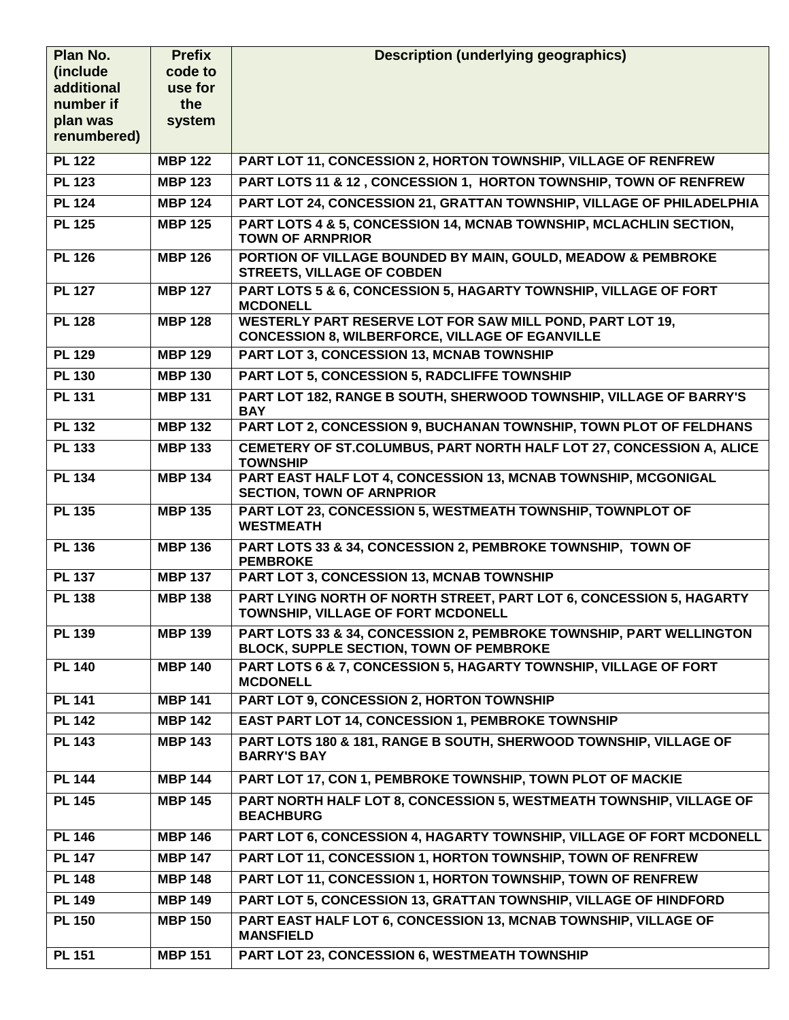| (include<br>code to<br>additional<br>use for<br>number if<br>the<br>plan was<br>system<br>renumbered)<br><b>PL 122</b><br>PART LOT 11, CONCESSION 2, HORTON TOWNSHIP, VILLAGE OF RENFREW<br><b>MBP 122</b><br>PART LOTS 11 & 12, CONCESSION 1, HORTON TOWNSHIP, TOWN OF RENFREW<br><b>PL 123</b><br><b>MBP 123</b><br>PART LOT 24, CONCESSION 21, GRATTAN TOWNSHIP, VILLAGE OF PHILADELPHIA<br><b>PL 124</b><br><b>MBP 124</b><br>PART LOTS 4 & 5, CONCESSION 14, MCNAB TOWNSHIP, MCLACHLIN SECTION,<br><b>PL 125</b><br><b>MBP 125</b><br><b>TOWN OF ARNPRIOR</b><br>PORTION OF VILLAGE BOUNDED BY MAIN, GOULD, MEADOW & PEMBROKE<br><b>PL 126</b><br><b>MBP 126</b><br><b>STREETS, VILLAGE OF COBDEN</b><br><b>PL 127</b><br>PART LOTS 5 & 6, CONCESSION 5, HAGARTY TOWNSHIP, VILLAGE OF FORT<br><b>MBP 127</b><br><b>MCDONELL</b><br>WESTERLY PART RESERVE LOT FOR SAW MILL POND, PART LOT 19,<br><b>PL 128</b><br><b>MBP 128</b><br><b>CONCESSION 8, WILBERFORCE, VILLAGE OF EGANVILLE</b><br><b>PL 129</b><br>PART LOT 3, CONCESSION 13, MCNAB TOWNSHIP<br><b>MBP 129</b><br><b>PL 130</b><br><b>PART LOT 5, CONCESSION 5, RADCLIFFE TOWNSHIP</b><br><b>MBP 130</b><br>PART LOT 182, RANGE B SOUTH, SHERWOOD TOWNSHIP, VILLAGE OF BARRY'S<br><b>PL 131</b><br><b>MBP 131</b><br><b>BAY</b><br>PART LOT 2, CONCESSION 9, BUCHANAN TOWNSHIP, TOWN PLOT OF FELDHANS<br><b>PL 132</b><br><b>MBP 132</b><br><b>PL 133</b><br>CEMETERY OF ST.COLUMBUS, PART NORTH HALF LOT 27, CONCESSION A, ALICE<br><b>MBP 133</b><br><b>TOWNSHIP</b><br>PART EAST HALF LOT 4, CONCESSION 13, MCNAB TOWNSHIP, MCGONIGAL<br><b>PL 134</b><br><b>MBP 134</b><br><b>SECTION, TOWN OF ARNPRIOR</b><br>PART LOT 23, CONCESSION 5, WESTMEATH TOWNSHIP, TOWNPLOT OF<br><b>PL 135</b><br><b>MBP 135</b><br><b>WESTMEATH</b><br>PART LOTS 33 & 34, CONCESSION 2, PEMBROKE TOWNSHIP, TOWN OF<br><b>PL 136</b><br><b>MBP 136</b><br><b>PEMBROKE</b><br><b>PL 137</b><br>PART LOT 3, CONCESSION 13, MCNAB TOWNSHIP<br><b>MBP 137</b><br>PART LYING NORTH OF NORTH STREET, PART LOT 6, CONCESSION 5, HAGARTY<br><b>PL 138</b><br><b>MBP 138</b><br>TOWNSHIP, VILLAGE OF FORT MCDONELL<br>PART LOTS 33 & 34, CONCESSION 2, PEMBROKE TOWNSHIP, PART WELLINGTON<br><b>PL 139</b><br><b>MBP 139</b><br><b>BLOCK, SUPPLE SECTION, TOWN OF PEMBROKE</b><br><b>PL 140</b><br><b>MBP 140</b><br>PART LOTS 6 & 7, CONCESSION 5, HAGARTY TOWNSHIP, VILLAGE OF FORT<br><b>MCDONELL</b><br>PART LOT 9, CONCESSION 2, HORTON TOWNSHIP<br><b>PL 141</b><br><b>MBP 141</b><br><b>PL 142</b><br><b>EAST PART LOT 14, CONCESSION 1, PEMBROKE TOWNSHIP</b><br><b>MBP 142</b><br><b>PL 143</b><br>PART LOTS 180 & 181, RANGE B SOUTH, SHERWOOD TOWNSHIP, VILLAGE OF<br><b>MBP 143</b><br><b>BARRY'S BAY</b><br>PART LOT 17, CON 1, PEMBROKE TOWNSHIP, TOWN PLOT OF MACKIE<br><b>PL 144</b><br><b>MBP 144</b><br>PART NORTH HALF LOT 8, CONCESSION 5, WESTMEATH TOWNSHIP, VILLAGE OF<br><b>PL 145</b><br><b>MBP 145</b> | Plan No. | <b>Prefix</b> | <b>Description (underlying geographics)</b> |
|-------------------------------------------------------------------------------------------------------------------------------------------------------------------------------------------------------------------------------------------------------------------------------------------------------------------------------------------------------------------------------------------------------------------------------------------------------------------------------------------------------------------------------------------------------------------------------------------------------------------------------------------------------------------------------------------------------------------------------------------------------------------------------------------------------------------------------------------------------------------------------------------------------------------------------------------------------------------------------------------------------------------------------------------------------------------------------------------------------------------------------------------------------------------------------------------------------------------------------------------------------------------------------------------------------------------------------------------------------------------------------------------------------------------------------------------------------------------------------------------------------------------------------------------------------------------------------------------------------------------------------------------------------------------------------------------------------------------------------------------------------------------------------------------------------------------------------------------------------------------------------------------------------------------------------------------------------------------------------------------------------------------------------------------------------------------------------------------------------------------------------------------------------------------------------------------------------------------------------------------------------------------------------------------------------------------------------------------------------------------------------------------------------------------------------------------------------------------------------------------------------------------------------------------------------------------------------------------------------------------------------------------------------------------------------------------------------------------------------------------------------------------------------------------------------------------------------------------------------------------------------------------------------------------------------------------------------------------------|----------|---------------|---------------------------------------------|
|                                                                                                                                                                                                                                                                                                                                                                                                                                                                                                                                                                                                                                                                                                                                                                                                                                                                                                                                                                                                                                                                                                                                                                                                                                                                                                                                                                                                                                                                                                                                                                                                                                                                                                                                                                                                                                                                                                                                                                                                                                                                                                                                                                                                                                                                                                                                                                                                                                                                                                                                                                                                                                                                                                                                                                                                                                                                                                                                                                         |          |               |                                             |
|                                                                                                                                                                                                                                                                                                                                                                                                                                                                                                                                                                                                                                                                                                                                                                                                                                                                                                                                                                                                                                                                                                                                                                                                                                                                                                                                                                                                                                                                                                                                                                                                                                                                                                                                                                                                                                                                                                                                                                                                                                                                                                                                                                                                                                                                                                                                                                                                                                                                                                                                                                                                                                                                                                                                                                                                                                                                                                                                                                         |          |               |                                             |
|                                                                                                                                                                                                                                                                                                                                                                                                                                                                                                                                                                                                                                                                                                                                                                                                                                                                                                                                                                                                                                                                                                                                                                                                                                                                                                                                                                                                                                                                                                                                                                                                                                                                                                                                                                                                                                                                                                                                                                                                                                                                                                                                                                                                                                                                                                                                                                                                                                                                                                                                                                                                                                                                                                                                                                                                                                                                                                                                                                         |          |               |                                             |
|                                                                                                                                                                                                                                                                                                                                                                                                                                                                                                                                                                                                                                                                                                                                                                                                                                                                                                                                                                                                                                                                                                                                                                                                                                                                                                                                                                                                                                                                                                                                                                                                                                                                                                                                                                                                                                                                                                                                                                                                                                                                                                                                                                                                                                                                                                                                                                                                                                                                                                                                                                                                                                                                                                                                                                                                                                                                                                                                                                         |          |               |                                             |
|                                                                                                                                                                                                                                                                                                                                                                                                                                                                                                                                                                                                                                                                                                                                                                                                                                                                                                                                                                                                                                                                                                                                                                                                                                                                                                                                                                                                                                                                                                                                                                                                                                                                                                                                                                                                                                                                                                                                                                                                                                                                                                                                                                                                                                                                                                                                                                                                                                                                                                                                                                                                                                                                                                                                                                                                                                                                                                                                                                         |          |               |                                             |
|                                                                                                                                                                                                                                                                                                                                                                                                                                                                                                                                                                                                                                                                                                                                                                                                                                                                                                                                                                                                                                                                                                                                                                                                                                                                                                                                                                                                                                                                                                                                                                                                                                                                                                                                                                                                                                                                                                                                                                                                                                                                                                                                                                                                                                                                                                                                                                                                                                                                                                                                                                                                                                                                                                                                                                                                                                                                                                                                                                         |          |               |                                             |
|                                                                                                                                                                                                                                                                                                                                                                                                                                                                                                                                                                                                                                                                                                                                                                                                                                                                                                                                                                                                                                                                                                                                                                                                                                                                                                                                                                                                                                                                                                                                                                                                                                                                                                                                                                                                                                                                                                                                                                                                                                                                                                                                                                                                                                                                                                                                                                                                                                                                                                                                                                                                                                                                                                                                                                                                                                                                                                                                                                         |          |               |                                             |
|                                                                                                                                                                                                                                                                                                                                                                                                                                                                                                                                                                                                                                                                                                                                                                                                                                                                                                                                                                                                                                                                                                                                                                                                                                                                                                                                                                                                                                                                                                                                                                                                                                                                                                                                                                                                                                                                                                                                                                                                                                                                                                                                                                                                                                                                                                                                                                                                                                                                                                                                                                                                                                                                                                                                                                                                                                                                                                                                                                         |          |               |                                             |
|                                                                                                                                                                                                                                                                                                                                                                                                                                                                                                                                                                                                                                                                                                                                                                                                                                                                                                                                                                                                                                                                                                                                                                                                                                                                                                                                                                                                                                                                                                                                                                                                                                                                                                                                                                                                                                                                                                                                                                                                                                                                                                                                                                                                                                                                                                                                                                                                                                                                                                                                                                                                                                                                                                                                                                                                                                                                                                                                                                         |          |               |                                             |
|                                                                                                                                                                                                                                                                                                                                                                                                                                                                                                                                                                                                                                                                                                                                                                                                                                                                                                                                                                                                                                                                                                                                                                                                                                                                                                                                                                                                                                                                                                                                                                                                                                                                                                                                                                                                                                                                                                                                                                                                                                                                                                                                                                                                                                                                                                                                                                                                                                                                                                                                                                                                                                                                                                                                                                                                                                                                                                                                                                         |          |               |                                             |
|                                                                                                                                                                                                                                                                                                                                                                                                                                                                                                                                                                                                                                                                                                                                                                                                                                                                                                                                                                                                                                                                                                                                                                                                                                                                                                                                                                                                                                                                                                                                                                                                                                                                                                                                                                                                                                                                                                                                                                                                                                                                                                                                                                                                                                                                                                                                                                                                                                                                                                                                                                                                                                                                                                                                                                                                                                                                                                                                                                         |          |               |                                             |
|                                                                                                                                                                                                                                                                                                                                                                                                                                                                                                                                                                                                                                                                                                                                                                                                                                                                                                                                                                                                                                                                                                                                                                                                                                                                                                                                                                                                                                                                                                                                                                                                                                                                                                                                                                                                                                                                                                                                                                                                                                                                                                                                                                                                                                                                                                                                                                                                                                                                                                                                                                                                                                                                                                                                                                                                                                                                                                                                                                         |          |               |                                             |
|                                                                                                                                                                                                                                                                                                                                                                                                                                                                                                                                                                                                                                                                                                                                                                                                                                                                                                                                                                                                                                                                                                                                                                                                                                                                                                                                                                                                                                                                                                                                                                                                                                                                                                                                                                                                                                                                                                                                                                                                                                                                                                                                                                                                                                                                                                                                                                                                                                                                                                                                                                                                                                                                                                                                                                                                                                                                                                                                                                         |          |               |                                             |
|                                                                                                                                                                                                                                                                                                                                                                                                                                                                                                                                                                                                                                                                                                                                                                                                                                                                                                                                                                                                                                                                                                                                                                                                                                                                                                                                                                                                                                                                                                                                                                                                                                                                                                                                                                                                                                                                                                                                                                                                                                                                                                                                                                                                                                                                                                                                                                                                                                                                                                                                                                                                                                                                                                                                                                                                                                                                                                                                                                         |          |               |                                             |
|                                                                                                                                                                                                                                                                                                                                                                                                                                                                                                                                                                                                                                                                                                                                                                                                                                                                                                                                                                                                                                                                                                                                                                                                                                                                                                                                                                                                                                                                                                                                                                                                                                                                                                                                                                                                                                                                                                                                                                                                                                                                                                                                                                                                                                                                                                                                                                                                                                                                                                                                                                                                                                                                                                                                                                                                                                                                                                                                                                         |          |               |                                             |
|                                                                                                                                                                                                                                                                                                                                                                                                                                                                                                                                                                                                                                                                                                                                                                                                                                                                                                                                                                                                                                                                                                                                                                                                                                                                                                                                                                                                                                                                                                                                                                                                                                                                                                                                                                                                                                                                                                                                                                                                                                                                                                                                                                                                                                                                                                                                                                                                                                                                                                                                                                                                                                                                                                                                                                                                                                                                                                                                                                         |          |               |                                             |
|                                                                                                                                                                                                                                                                                                                                                                                                                                                                                                                                                                                                                                                                                                                                                                                                                                                                                                                                                                                                                                                                                                                                                                                                                                                                                                                                                                                                                                                                                                                                                                                                                                                                                                                                                                                                                                                                                                                                                                                                                                                                                                                                                                                                                                                                                                                                                                                                                                                                                                                                                                                                                                                                                                                                                                                                                                                                                                                                                                         |          |               |                                             |
|                                                                                                                                                                                                                                                                                                                                                                                                                                                                                                                                                                                                                                                                                                                                                                                                                                                                                                                                                                                                                                                                                                                                                                                                                                                                                                                                                                                                                                                                                                                                                                                                                                                                                                                                                                                                                                                                                                                                                                                                                                                                                                                                                                                                                                                                                                                                                                                                                                                                                                                                                                                                                                                                                                                                                                                                                                                                                                                                                                         |          |               |                                             |
|                                                                                                                                                                                                                                                                                                                                                                                                                                                                                                                                                                                                                                                                                                                                                                                                                                                                                                                                                                                                                                                                                                                                                                                                                                                                                                                                                                                                                                                                                                                                                                                                                                                                                                                                                                                                                                                                                                                                                                                                                                                                                                                                                                                                                                                                                                                                                                                                                                                                                                                                                                                                                                                                                                                                                                                                                                                                                                                                                                         |          |               |                                             |
|                                                                                                                                                                                                                                                                                                                                                                                                                                                                                                                                                                                                                                                                                                                                                                                                                                                                                                                                                                                                                                                                                                                                                                                                                                                                                                                                                                                                                                                                                                                                                                                                                                                                                                                                                                                                                                                                                                                                                                                                                                                                                                                                                                                                                                                                                                                                                                                                                                                                                                                                                                                                                                                                                                                                                                                                                                                                                                                                                                         |          |               |                                             |
|                                                                                                                                                                                                                                                                                                                                                                                                                                                                                                                                                                                                                                                                                                                                                                                                                                                                                                                                                                                                                                                                                                                                                                                                                                                                                                                                                                                                                                                                                                                                                                                                                                                                                                                                                                                                                                                                                                                                                                                                                                                                                                                                                                                                                                                                                                                                                                                                                                                                                                                                                                                                                                                                                                                                                                                                                                                                                                                                                                         |          |               |                                             |
|                                                                                                                                                                                                                                                                                                                                                                                                                                                                                                                                                                                                                                                                                                                                                                                                                                                                                                                                                                                                                                                                                                                                                                                                                                                                                                                                                                                                                                                                                                                                                                                                                                                                                                                                                                                                                                                                                                                                                                                                                                                                                                                                                                                                                                                                                                                                                                                                                                                                                                                                                                                                                                                                                                                                                                                                                                                                                                                                                                         |          |               |                                             |
|                                                                                                                                                                                                                                                                                                                                                                                                                                                                                                                                                                                                                                                                                                                                                                                                                                                                                                                                                                                                                                                                                                                                                                                                                                                                                                                                                                                                                                                                                                                                                                                                                                                                                                                                                                                                                                                                                                                                                                                                                                                                                                                                                                                                                                                                                                                                                                                                                                                                                                                                                                                                                                                                                                                                                                                                                                                                                                                                                                         |          |               |                                             |
|                                                                                                                                                                                                                                                                                                                                                                                                                                                                                                                                                                                                                                                                                                                                                                                                                                                                                                                                                                                                                                                                                                                                                                                                                                                                                                                                                                                                                                                                                                                                                                                                                                                                                                                                                                                                                                                                                                                                                                                                                                                                                                                                                                                                                                                                                                                                                                                                                                                                                                                                                                                                                                                                                                                                                                                                                                                                                                                                                                         |          |               |                                             |
|                                                                                                                                                                                                                                                                                                                                                                                                                                                                                                                                                                                                                                                                                                                                                                                                                                                                                                                                                                                                                                                                                                                                                                                                                                                                                                                                                                                                                                                                                                                                                                                                                                                                                                                                                                                                                                                                                                                                                                                                                                                                                                                                                                                                                                                                                                                                                                                                                                                                                                                                                                                                                                                                                                                                                                                                                                                                                                                                                                         |          |               |                                             |
|                                                                                                                                                                                                                                                                                                                                                                                                                                                                                                                                                                                                                                                                                                                                                                                                                                                                                                                                                                                                                                                                                                                                                                                                                                                                                                                                                                                                                                                                                                                                                                                                                                                                                                                                                                                                                                                                                                                                                                                                                                                                                                                                                                                                                                                                                                                                                                                                                                                                                                                                                                                                                                                                                                                                                                                                                                                                                                                                                                         |          |               |                                             |
|                                                                                                                                                                                                                                                                                                                                                                                                                                                                                                                                                                                                                                                                                                                                                                                                                                                                                                                                                                                                                                                                                                                                                                                                                                                                                                                                                                                                                                                                                                                                                                                                                                                                                                                                                                                                                                                                                                                                                                                                                                                                                                                                                                                                                                                                                                                                                                                                                                                                                                                                                                                                                                                                                                                                                                                                                                                                                                                                                                         |          |               |                                             |
|                                                                                                                                                                                                                                                                                                                                                                                                                                                                                                                                                                                                                                                                                                                                                                                                                                                                                                                                                                                                                                                                                                                                                                                                                                                                                                                                                                                                                                                                                                                                                                                                                                                                                                                                                                                                                                                                                                                                                                                                                                                                                                                                                                                                                                                                                                                                                                                                                                                                                                                                                                                                                                                                                                                                                                                                                                                                                                                                                                         |          |               |                                             |
|                                                                                                                                                                                                                                                                                                                                                                                                                                                                                                                                                                                                                                                                                                                                                                                                                                                                                                                                                                                                                                                                                                                                                                                                                                                                                                                                                                                                                                                                                                                                                                                                                                                                                                                                                                                                                                                                                                                                                                                                                                                                                                                                                                                                                                                                                                                                                                                                                                                                                                                                                                                                                                                                                                                                                                                                                                                                                                                                                                         |          |               | <b>BEACHBURG</b>                            |
| PART LOT 6, CONCESSION 4, HAGARTY TOWNSHIP, VILLAGE OF FORT MCDONELL<br><b>PL 146</b><br><b>MBP 146</b>                                                                                                                                                                                                                                                                                                                                                                                                                                                                                                                                                                                                                                                                                                                                                                                                                                                                                                                                                                                                                                                                                                                                                                                                                                                                                                                                                                                                                                                                                                                                                                                                                                                                                                                                                                                                                                                                                                                                                                                                                                                                                                                                                                                                                                                                                                                                                                                                                                                                                                                                                                                                                                                                                                                                                                                                                                                                 |          |               |                                             |
| <b>PL 147</b><br>PART LOT 11, CONCESSION 1, HORTON TOWNSHIP, TOWN OF RENFREW<br><b>MBP 147</b>                                                                                                                                                                                                                                                                                                                                                                                                                                                                                                                                                                                                                                                                                                                                                                                                                                                                                                                                                                                                                                                                                                                                                                                                                                                                                                                                                                                                                                                                                                                                                                                                                                                                                                                                                                                                                                                                                                                                                                                                                                                                                                                                                                                                                                                                                                                                                                                                                                                                                                                                                                                                                                                                                                                                                                                                                                                                          |          |               |                                             |
| PART LOT 11, CONCESSION 1, HORTON TOWNSHIP, TOWN OF RENFREW<br><b>PL 148</b><br><b>MBP 148</b>                                                                                                                                                                                                                                                                                                                                                                                                                                                                                                                                                                                                                                                                                                                                                                                                                                                                                                                                                                                                                                                                                                                                                                                                                                                                                                                                                                                                                                                                                                                                                                                                                                                                                                                                                                                                                                                                                                                                                                                                                                                                                                                                                                                                                                                                                                                                                                                                                                                                                                                                                                                                                                                                                                                                                                                                                                                                          |          |               |                                             |
| PART LOT 5, CONCESSION 13, GRATTAN TOWNSHIP, VILLAGE OF HINDFORD<br><b>PL 149</b><br><b>MBP 149</b>                                                                                                                                                                                                                                                                                                                                                                                                                                                                                                                                                                                                                                                                                                                                                                                                                                                                                                                                                                                                                                                                                                                                                                                                                                                                                                                                                                                                                                                                                                                                                                                                                                                                                                                                                                                                                                                                                                                                                                                                                                                                                                                                                                                                                                                                                                                                                                                                                                                                                                                                                                                                                                                                                                                                                                                                                                                                     |          |               |                                             |
| PART EAST HALF LOT 6, CONCESSION 13, MCNAB TOWNSHIP, VILLAGE OF<br><b>PL 150</b><br><b>MBP 150</b><br><b>MANSFIELD</b>                                                                                                                                                                                                                                                                                                                                                                                                                                                                                                                                                                                                                                                                                                                                                                                                                                                                                                                                                                                                                                                                                                                                                                                                                                                                                                                                                                                                                                                                                                                                                                                                                                                                                                                                                                                                                                                                                                                                                                                                                                                                                                                                                                                                                                                                                                                                                                                                                                                                                                                                                                                                                                                                                                                                                                                                                                                  |          |               |                                             |
| <b>PL 151</b><br>PART LOT 23, CONCESSION 6, WESTMEATH TOWNSHIP<br><b>MBP 151</b>                                                                                                                                                                                                                                                                                                                                                                                                                                                                                                                                                                                                                                                                                                                                                                                                                                                                                                                                                                                                                                                                                                                                                                                                                                                                                                                                                                                                                                                                                                                                                                                                                                                                                                                                                                                                                                                                                                                                                                                                                                                                                                                                                                                                                                                                                                                                                                                                                                                                                                                                                                                                                                                                                                                                                                                                                                                                                        |          |               |                                             |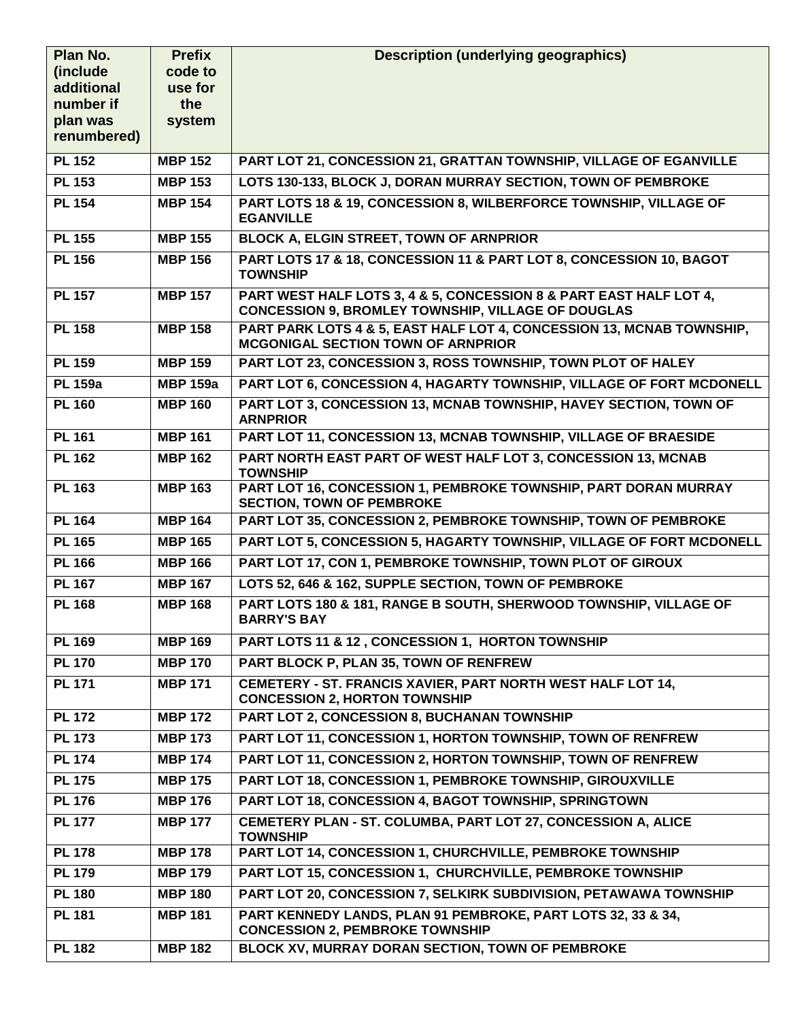| Plan No.                | <b>Prefix</b>   | <b>Description (underlying geographics)</b>                                                                                     |
|-------------------------|-----------------|---------------------------------------------------------------------------------------------------------------------------------|
| (include)               | code to         |                                                                                                                                 |
| additional<br>number if | use for<br>the  |                                                                                                                                 |
| plan was                | system          |                                                                                                                                 |
| renumbered)             |                 |                                                                                                                                 |
| <b>PL 152</b>           | <b>MBP 152</b>  | PART LOT 21, CONCESSION 21, GRATTAN TOWNSHIP, VILLAGE OF EGANVILLE                                                              |
| <b>PL 153</b>           | <b>MBP 153</b>  | LOTS 130-133, BLOCK J, DORAN MURRAY SECTION, TOWN OF PEMBROKE                                                                   |
| <b>PL 154</b>           | <b>MBP 154</b>  | PART LOTS 18 & 19, CONCESSION 8, WILBERFORCE TOWNSHIP, VILLAGE OF<br><b>EGANVILLE</b>                                           |
| <b>PL 155</b>           | <b>MBP 155</b>  | <b>BLOCK A, ELGIN STREET, TOWN OF ARNPRIOR</b>                                                                                  |
| <b>PL 156</b>           | <b>MBP 156</b>  | PART LOTS 17 & 18, CONCESSION 11 & PART LOT 8, CONCESSION 10, BAGOT<br><b>TOWNSHIP</b>                                          |
| <b>PL 157</b>           | <b>MBP 157</b>  | PART WEST HALF LOTS 3, 4 & 5, CONCESSION 8 & PART EAST HALF LOT 4,<br><b>CONCESSION 9, BROMLEY TOWNSHIP, VILLAGE OF DOUGLAS</b> |
| <b>PL 158</b>           | <b>MBP 158</b>  | PART PARK LOTS 4 & 5, EAST HALF LOT 4, CONCESSION 13, MCNAB TOWNSHIP,<br><b>MCGONIGAL SECTION TOWN OF ARNPRIOR</b>              |
| <b>PL 159</b>           | <b>MBP 159</b>  | PART LOT 23, CONCESSION 3, ROSS TOWNSHIP, TOWN PLOT OF HALEY                                                                    |
| <b>PL 159a</b>          | <b>MBP 159a</b> | PART LOT 6, CONCESSION 4, HAGARTY TOWNSHIP, VILLAGE OF FORT MCDONELL                                                            |
| <b>PL 160</b>           | <b>MBP 160</b>  | PART LOT 3, CONCESSION 13, MCNAB TOWNSHIP, HAVEY SECTION, TOWN OF<br><b>ARNPRIOR</b>                                            |
| <b>PL 161</b>           | <b>MBP 161</b>  | PART LOT 11, CONCESSION 13, MCNAB TOWNSHIP, VILLAGE OF BRAESIDE                                                                 |
| <b>PL 162</b>           | <b>MBP 162</b>  | PART NORTH EAST PART OF WEST HALF LOT 3, CONCESSION 13, MCNAB<br><b>TOWNSHIP</b>                                                |
| <b>PL 163</b>           | <b>MBP 163</b>  | PART LOT 16, CONCESSION 1, PEMBROKE TOWNSHIP, PART DORAN MURRAY<br><b>SECTION, TOWN OF PEMBROKE</b>                             |
| <b>PL 164</b>           | <b>MBP 164</b>  | PART LOT 35, CONCESSION 2, PEMBROKE TOWNSHIP, TOWN OF PEMBROKE                                                                  |
| <b>PL 165</b>           | <b>MBP 165</b>  | PART LOT 5, CONCESSION 5, HAGARTY TOWNSHIP, VILLAGE OF FORT MCDONELL                                                            |
| <b>PL 166</b>           | <b>MBP 166</b>  | PART LOT 17, CON 1, PEMBROKE TOWNSHIP, TOWN PLOT OF GIROUX                                                                      |
| <b>PL 167</b>           | <b>MBP 167</b>  | LOTS 52, 646 & 162, SUPPLE SECTION, TOWN OF PEMBROKE                                                                            |
| <b>PL 168</b>           | <b>MBP 168</b>  | PART LOTS 180 & 181, RANGE B SOUTH, SHERWOOD TOWNSHIP, VILLAGE OF<br><b>BARRY'S BAY</b>                                         |
| <b>PL 169</b>           | <b>MBP 169</b>  | PART LOTS 11 & 12, CONCESSION 1, HORTON TOWNSHIP                                                                                |
| <b>PL 170</b>           | <b>MBP 170</b>  | PART BLOCK P, PLAN 35, TOWN OF RENFREW                                                                                          |
| <b>PL 171</b>           | <b>MBP 171</b>  | CEMETERY - ST. FRANCIS XAVIER, PART NORTH WEST HALF LOT 14,<br><b>CONCESSION 2, HORTON TOWNSHIP</b>                             |
| <b>PL 172</b>           | <b>MBP 172</b>  | PART LOT 2, CONCESSION 8, BUCHANAN TOWNSHIP                                                                                     |
| <b>PL 173</b>           | <b>MBP 173</b>  | PART LOT 11, CONCESSION 1, HORTON TOWNSHIP, TOWN OF RENFREW                                                                     |
| <b>PL 174</b>           | <b>MBP 174</b>  | PART LOT 11, CONCESSION 2, HORTON TOWNSHIP, TOWN OF RENFREW                                                                     |
| <b>PL 175</b>           | <b>MBP 175</b>  | PART LOT 18, CONCESSION 1, PEMBROKE TOWNSHIP, GIROUXVILLE                                                                       |
| <b>PL 176</b>           | <b>MBP 176</b>  | PART LOT 18, CONCESSION 4, BAGOT TOWNSHIP, SPRINGTOWN                                                                           |
| <b>PL 177</b>           | <b>MBP 177</b>  | CEMETERY PLAN - ST. COLUMBA, PART LOT 27, CONCESSION A, ALICE<br><b>TOWNSHIP</b>                                                |
| <b>PL 178</b>           | <b>MBP 178</b>  | PART LOT 14, CONCESSION 1, CHURCHVILLE, PEMBROKE TOWNSHIP                                                                       |
| <b>PL 179</b>           | <b>MBP 179</b>  | PART LOT 15, CONCESSION 1, CHURCHVILLE, PEMBROKE TOWNSHIP                                                                       |
| <b>PL 180</b>           | <b>MBP 180</b>  | PART LOT 20, CONCESSION 7, SELKIRK SUBDIVISION, PETAWAWA TOWNSHIP                                                               |
| <b>PL 181</b>           | <b>MBP 181</b>  | PART KENNEDY LANDS, PLAN 91 PEMBROKE, PART LOTS 32, 33 & 34,<br><b>CONCESSION 2, PEMBROKE TOWNSHIP</b>                          |
| <b>PL 182</b>           | <b>MBP 182</b>  | BLOCK XV, MURRAY DORAN SECTION, TOWN OF PEMBROKE                                                                                |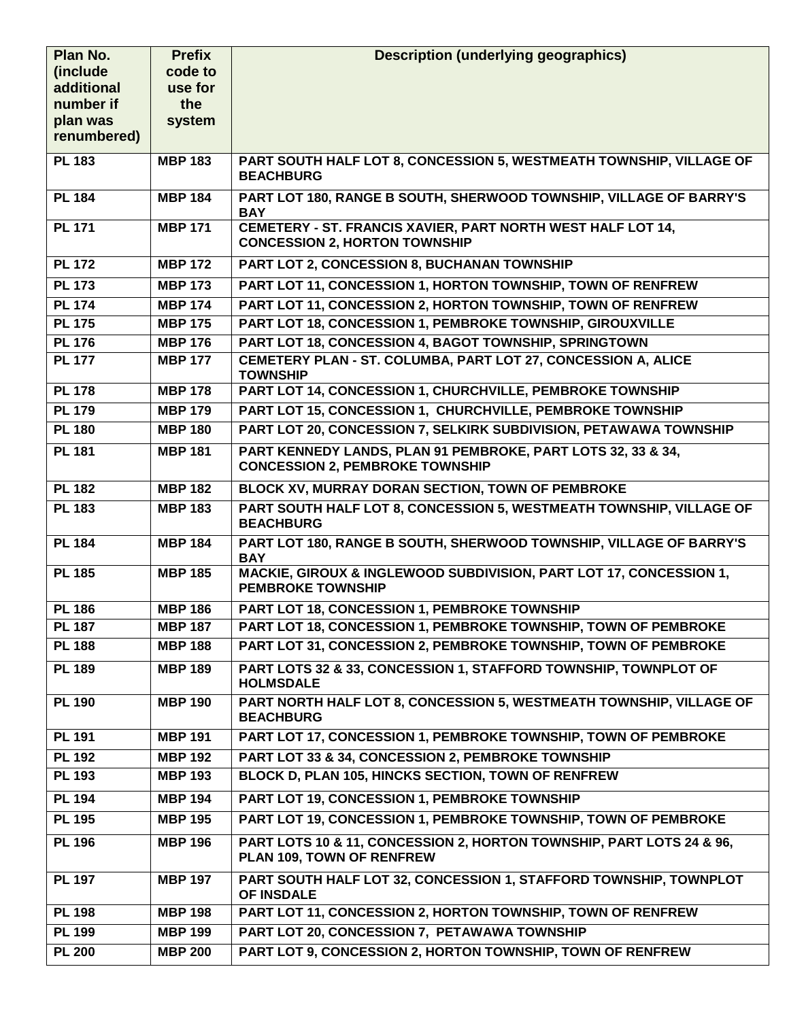| Plan No.              | <b>Prefix</b>  | <b>Description (underlying geographics)</b>                                                                |
|-----------------------|----------------|------------------------------------------------------------------------------------------------------------|
| (include)             | code to        |                                                                                                            |
| additional            | use for        |                                                                                                            |
| number if<br>plan was | the<br>system  |                                                                                                            |
| renumbered)           |                |                                                                                                            |
| <b>PL 183</b>         | <b>MBP 183</b> | PART SOUTH HALF LOT 8, CONCESSION 5, WESTMEATH TOWNSHIP, VILLAGE OF                                        |
|                       |                | <b>BEACHBURG</b>                                                                                           |
| <b>PL 184</b>         | <b>MBP 184</b> | PART LOT 180, RANGE B SOUTH, SHERWOOD TOWNSHIP, VILLAGE OF BARRY'S<br><b>BAY</b>                           |
| <b>PL 171</b>         | <b>MBP 171</b> | <b>CEMETERY - ST. FRANCIS XAVIER, PART NORTH WEST HALF LOT 14,</b><br><b>CONCESSION 2, HORTON TOWNSHIP</b> |
| <b>PL 172</b>         | <b>MBP 172</b> | PART LOT 2, CONCESSION 8, BUCHANAN TOWNSHIP                                                                |
| <b>PL 173</b>         | <b>MBP 173</b> | PART LOT 11, CONCESSION 1, HORTON TOWNSHIP, TOWN OF RENFREW                                                |
| <b>PL 174</b>         | <b>MBP 174</b> | PART LOT 11, CONCESSION 2, HORTON TOWNSHIP, TOWN OF RENFREW                                                |
| <b>PL 175</b>         | <b>MBP 175</b> | PART LOT 18, CONCESSION 1, PEMBROKE TOWNSHIP, GIROUXVILLE                                                  |
| <b>PL 176</b>         | <b>MBP 176</b> | PART LOT 18, CONCESSION 4, BAGOT TOWNSHIP, SPRINGTOWN                                                      |
| <b>PL 177</b>         | <b>MBP 177</b> | CEMETERY PLAN - ST. COLUMBA, PART LOT 27, CONCESSION A, ALICE<br><b>TOWNSHIP</b>                           |
| <b>PL 178</b>         | <b>MBP 178</b> | PART LOT 14, CONCESSION 1, CHURCHVILLE, PEMBROKE TOWNSHIP                                                  |
| <b>PL 179</b>         | <b>MBP 179</b> | PART LOT 15, CONCESSION 1, CHURCHVILLE, PEMBROKE TOWNSHIP                                                  |
| <b>PL 180</b>         | <b>MBP 180</b> | PART LOT 20, CONCESSION 7, SELKIRK SUBDIVISION, PETAWAWA TOWNSHIP                                          |
| <b>PL 181</b>         | <b>MBP 181</b> | PART KENNEDY LANDS, PLAN 91 PEMBROKE, PART LOTS 32, 33 & 34,<br><b>CONCESSION 2, PEMBROKE TOWNSHIP</b>     |
| <b>PL 182</b>         | <b>MBP 182</b> | BLOCK XV, MURRAY DORAN SECTION, TOWN OF PEMBROKE                                                           |
| <b>PL 183</b>         | <b>MBP 183</b> | PART SOUTH HALF LOT 8, CONCESSION 5, WESTMEATH TOWNSHIP, VILLAGE OF<br><b>BEACHBURG</b>                    |
| <b>PL 184</b>         | <b>MBP 184</b> | PART LOT 180, RANGE B SOUTH, SHERWOOD TOWNSHIP, VILLAGE OF BARRY'S<br><b>BAY</b>                           |
| <b>PL 185</b>         | <b>MBP 185</b> | MACKIE, GIROUX & INGLEWOOD SUBDIVISION, PART LOT 17, CONCESSION 1,<br><b>PEMBROKE TOWNSHIP</b>             |
| <b>PL 186</b>         | <b>MBP 186</b> | PART LOT 18, CONCESSION 1, PEMBROKE TOWNSHIP                                                               |
| PL 187                | <b>MBP 187</b> | PART LOT 18, CONCESSION 1, PEMBROKE TOWNSHIP, TOWN OF PEMBROKE                                             |
| <b>PL 188</b>         | <b>MBP 188</b> | PART LOT 31, CONCESSION 2, PEMBROKE TOWNSHIP, TOWN OF PEMBROKE                                             |
| <b>PL 189</b>         | <b>MBP 189</b> | PART LOTS 32 & 33, CONCESSION 1, STAFFORD TOWNSHIP, TOWNPLOT OF<br><b>HOLMSDALE</b>                        |
| <b>PL 190</b>         | <b>MBP 190</b> | PART NORTH HALF LOT 8, CONCESSION 5, WESTMEATH TOWNSHIP, VILLAGE OF<br><b>BEACHBURG</b>                    |
| <b>PL 191</b>         | <b>MBP 191</b> | PART LOT 17, CONCESSION 1, PEMBROKE TOWNSHIP, TOWN OF PEMBROKE                                             |
| <b>PL 192</b>         | <b>MBP 192</b> | PART LOT 33 & 34, CONCESSION 2, PEMBROKE TOWNSHIP                                                          |
| <b>PL 193</b>         | <b>MBP 193</b> | BLOCK D, PLAN 105, HINCKS SECTION, TOWN OF RENFREW                                                         |
| <b>PL 194</b>         | <b>MBP 194</b> | PART LOT 19, CONCESSION 1, PEMBROKE TOWNSHIP                                                               |
| <b>PL 195</b>         | <b>MBP 195</b> | PART LOT 19, CONCESSION 1, PEMBROKE TOWNSHIP, TOWN OF PEMBROKE                                             |
| <b>PL 196</b>         | <b>MBP 196</b> | PART LOTS 10 & 11, CONCESSION 2, HORTON TOWNSHIP, PART LOTS 24 & 96,<br>PLAN 109, TOWN OF RENFREW          |
| <b>PL 197</b>         | <b>MBP 197</b> | PART SOUTH HALF LOT 32, CONCESSION 1, STAFFORD TOWNSHIP, TOWNPLOT<br>OF INSDALE                            |
| <b>PL 198</b>         | <b>MBP 198</b> | PART LOT 11, CONCESSION 2, HORTON TOWNSHIP, TOWN OF RENFREW                                                |
| <b>PL 199</b>         | <b>MBP 199</b> | PART LOT 20, CONCESSION 7, PETAWAWA TOWNSHIP                                                               |
| <b>PL 200</b>         | <b>MBP 200</b> | PART LOT 9, CONCESSION 2, HORTON TOWNSHIP, TOWN OF RENFREW                                                 |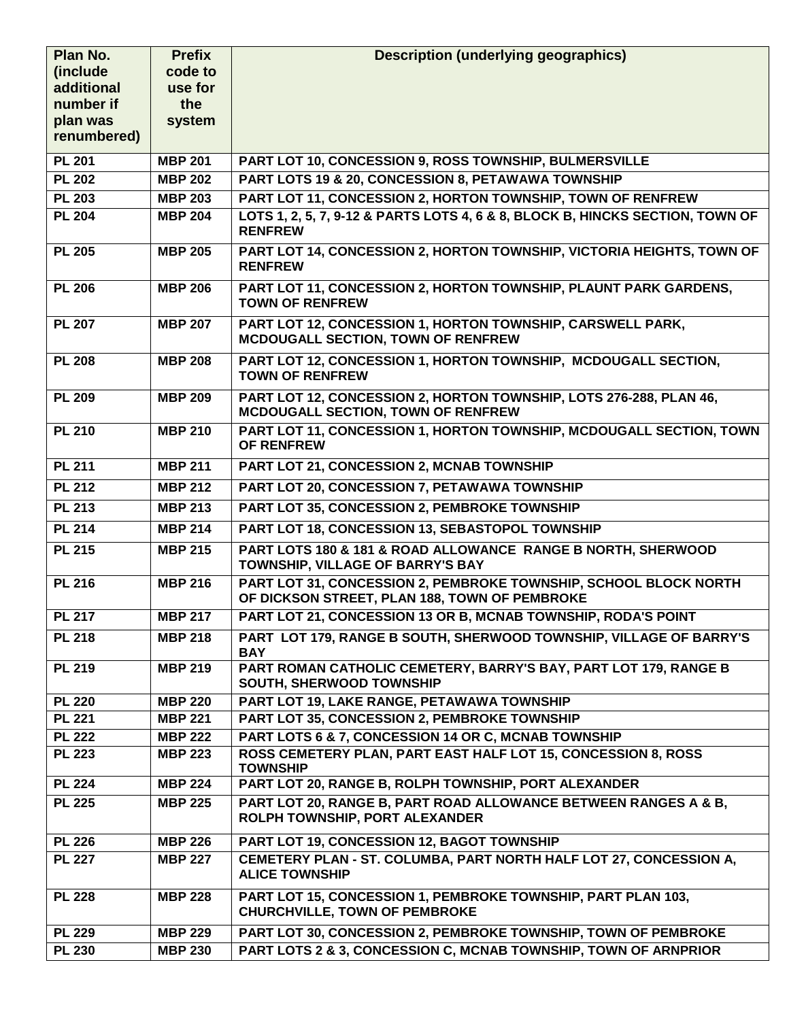| Plan No.                       | <b>Prefix</b>                    | <b>Description (underlying geographics)</b>                                                                       |
|--------------------------------|----------------------------------|-------------------------------------------------------------------------------------------------------------------|
| (include)                      | code to                          |                                                                                                                   |
| additional                     | use for                          |                                                                                                                   |
| number if                      | the<br>system                    |                                                                                                                   |
| plan was<br>renumbered)        |                                  |                                                                                                                   |
|                                |                                  |                                                                                                                   |
| <b>PL 201</b>                  | <b>MBP 201</b>                   | PART LOT 10, CONCESSION 9, ROSS TOWNSHIP, BULMERSVILLE                                                            |
| <b>PL 202</b><br><b>PL 203</b> | <b>MBP 202</b>                   | PART LOTS 19 & 20, CONCESSION 8, PETAWAWA TOWNSHIP<br>PART LOT 11, CONCESSION 2, HORTON TOWNSHIP, TOWN OF RENFREW |
| <b>PL 204</b>                  | <b>MBP 203</b><br><b>MBP 204</b> | LOTS 1, 2, 5, 7, 9-12 & PARTS LOTS 4, 6 & 8, BLOCK B, HINCKS SECTION, TOWN OF                                     |
|                                |                                  | <b>RENFREW</b>                                                                                                    |
| <b>PL 205</b>                  | <b>MBP 205</b>                   | PART LOT 14, CONCESSION 2, HORTON TOWNSHIP, VICTORIA HEIGHTS, TOWN OF<br><b>RENFREW</b>                           |
| <b>PL 206</b>                  | <b>MBP 206</b>                   | PART LOT 11, CONCESSION 2, HORTON TOWNSHIP, PLAUNT PARK GARDENS,<br><b>TOWN OF RENFREW</b>                        |
| <b>PL 207</b>                  | <b>MBP 207</b>                   | PART LOT 12, CONCESSION 1, HORTON TOWNSHIP, CARSWELL PARK,<br><b>MCDOUGALL SECTION, TOWN OF RENFREW</b>           |
| <b>PL 208</b>                  | <b>MBP 208</b>                   | PART LOT 12, CONCESSION 1, HORTON TOWNSHIP, MCDOUGALL SECTION,<br><b>TOWN OF RENFREW</b>                          |
| <b>PL 209</b>                  | <b>MBP 209</b>                   | PART LOT 12, CONCESSION 2, HORTON TOWNSHIP, LOTS 276-288, PLAN 46,<br>MCDOUGALL SECTION, TOWN OF RENFREW          |
| <b>PL 210</b>                  | <b>MBP 210</b>                   | PART LOT 11, CONCESSION 1, HORTON TOWNSHIP, MCDOUGALL SECTION, TOWN<br>OF RENFREW                                 |
| <b>PL 211</b>                  | <b>MBP 211</b>                   | PART LOT 21, CONCESSION 2, MCNAB TOWNSHIP                                                                         |
| <b>PL 212</b>                  | <b>MBP 212</b>                   | PART LOT 20, CONCESSION 7, PETAWAWA TOWNSHIP                                                                      |
| <b>PL 213</b>                  | <b>MBP 213</b>                   | PART LOT 35, CONCESSION 2, PEMBROKE TOWNSHIP                                                                      |
| <b>PL 214</b>                  | <b>MBP 214</b>                   | PART LOT 18, CONCESSION 13, SEBASTOPOL TOWNSHIP                                                                   |
| <b>PL 215</b>                  | <b>MBP 215</b>                   | PART LOTS 180 & 181 & ROAD ALLOWANCE RANGE B NORTH, SHERWOOD<br>TOWNSHIP, VILLAGE OF BARRY'S BAY                  |
| <b>PL 216</b>                  | <b>MBP 216</b>                   | PART LOT 31, CONCESSION 2, PEMBROKE TOWNSHIP, SCHOOL BLOCK NORTH<br>OF DICKSON STREET, PLAN 188, TOWN OF PEMBROKE |
| $\overline{PL}$ 217            | <b>MBP 217</b>                   | PART LOT 21, CONCESSION 13 OR B, MCNAB TOWNSHIP, RODA'S POINT                                                     |
| <b>PL 218</b>                  | <b>MBP 218</b>                   | PART LOT 179, RANGE B SOUTH, SHERWOOD TOWNSHIP, VILLAGE OF BARRY'S<br><b>BAY</b>                                  |
| <b>PL 219</b>                  | <b>MBP 219</b>                   | PART ROMAN CATHOLIC CEMETERY, BARRY'S BAY, PART LOT 179, RANGE B<br>SOUTH, SHERWOOD TOWNSHIP                      |
| <b>PL 220</b>                  | <b>MBP 220</b>                   | PART LOT 19, LAKE RANGE, PETAWAWA TOWNSHIP                                                                        |
| <b>PL 221</b>                  | <b>MBP 221</b>                   | <b>PART LOT 35, CONCESSION 2, PEMBROKE TOWNSHIP</b>                                                               |
| <b>PL 222</b>                  | <b>MBP 222</b>                   | PART LOTS 6 & 7, CONCESSION 14 OR C, MCNAB TOWNSHIP                                                               |
| <b>PL 223</b>                  | <b>MBP 223</b>                   | ROSS CEMETERY PLAN, PART EAST HALF LOT 15, CONCESSION 8, ROSS<br><b>TOWNSHIP</b>                                  |
| <b>PL 224</b>                  | <b>MBP 224</b>                   | PART LOT 20, RANGE B, ROLPH TOWNSHIP, PORT ALEXANDER                                                              |
| <b>PL 225</b>                  | <b>MBP 225</b>                   | PART LOT 20, RANGE B, PART ROAD ALLOWANCE BETWEEN RANGES A & B,<br>ROLPH TOWNSHIP, PORT ALEXANDER                 |
| <b>PL 226</b>                  | <b>MBP 226</b>                   | PART LOT 19, CONCESSION 12, BAGOT TOWNSHIP                                                                        |
| <b>PL 227</b>                  | <b>MBP 227</b>                   | CEMETERY PLAN - ST. COLUMBA, PART NORTH HALF LOT 27, CONCESSION A,<br><b>ALICE TOWNSHIP</b>                       |
| <b>PL 228</b>                  | <b>MBP 228</b>                   | PART LOT 15, CONCESSION 1, PEMBROKE TOWNSHIP, PART PLAN 103,<br><b>CHURCHVILLE, TOWN OF PEMBROKE</b>              |
| <b>PL 229</b>                  | <b>MBP 229</b>                   | PART LOT 30, CONCESSION 2, PEMBROKE TOWNSHIP, TOWN OF PEMBROKE                                                    |
| <b>PL 230</b>                  | <b>MBP 230</b>                   | PART LOTS 2 & 3, CONCESSION C, MCNAB TOWNSHIP, TOWN OF ARNPRIOR                                                   |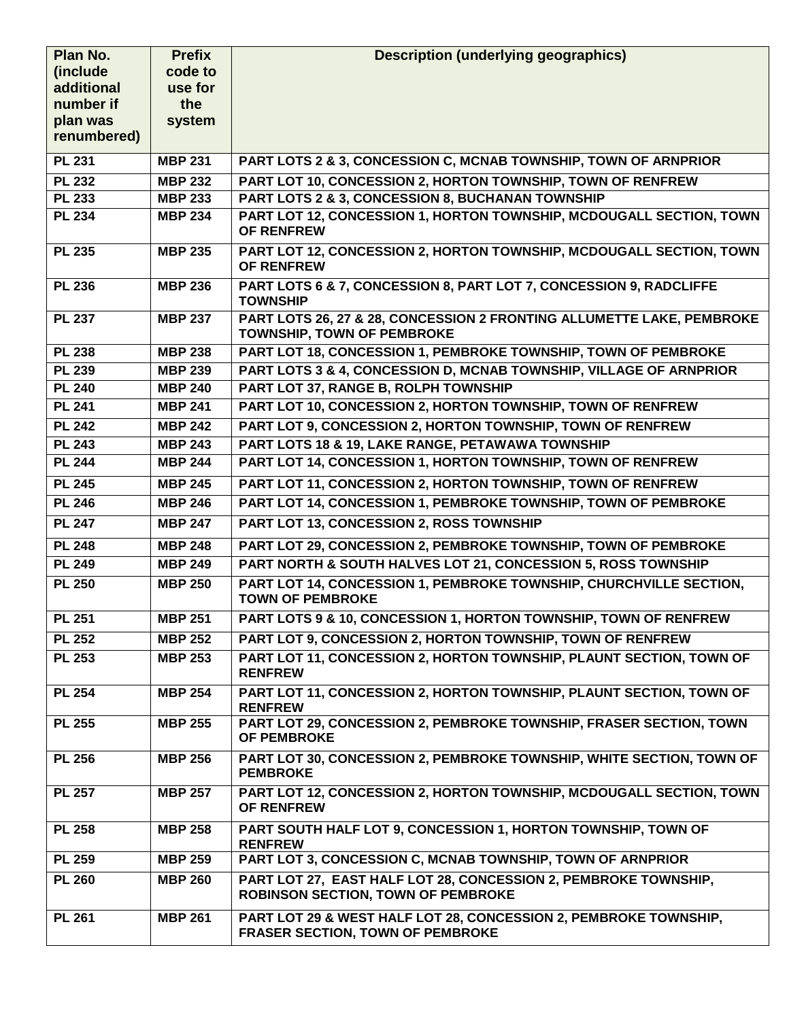| Plan No.              | <b>Prefix</b>  | <b>Description (underlying geographics)</b>                                                                  |
|-----------------------|----------------|--------------------------------------------------------------------------------------------------------------|
| <i>(include)</i>      | code to        |                                                                                                              |
| additional            | use for        |                                                                                                              |
| number if<br>plan was | the<br>system  |                                                                                                              |
| renumbered)           |                |                                                                                                              |
|                       |                |                                                                                                              |
| <b>PL 231</b>         | <b>MBP 231</b> | PART LOTS 2 & 3, CONCESSION C, MCNAB TOWNSHIP, TOWN OF ARNPRIOR                                              |
| <b>PL 232</b>         | <b>MBP 232</b> | PART LOT 10, CONCESSION 2, HORTON TOWNSHIP, TOWN OF RENFREW                                                  |
| <b>PL 233</b>         | <b>MBP 233</b> | PART LOTS 2 & 3, CONCESSION 8, BUCHANAN TOWNSHIP                                                             |
| <b>PL 234</b>         | <b>MBP 234</b> | PART LOT 12, CONCESSION 1, HORTON TOWNSHIP, MCDOUGALL SECTION, TOWN<br><b>OF RENFREW</b>                     |
| <b>PL 235</b>         | <b>MBP 235</b> | PART LOT 12, CONCESSION 2, HORTON TOWNSHIP, MCDOUGALL SECTION, TOWN<br><b>OF RENFREW</b>                     |
| <b>PL 236</b>         | <b>MBP 236</b> | PART LOTS 6 & 7, CONCESSION 8, PART LOT 7, CONCESSION 9, RADCLIFFE<br><b>TOWNSHIP</b>                        |
| <b>PL 237</b>         | <b>MBP 237</b> | PART LOTS 26, 27 & 28, CONCESSION 2 FRONTING ALLUMETTE LAKE, PEMBROKE<br><b>TOWNSHIP, TOWN OF PEMBROKE</b>   |
| <b>PL 238</b>         | <b>MBP 238</b> | PART LOT 18, CONCESSION 1, PEMBROKE TOWNSHIP, TOWN OF PEMBROKE                                               |
| <b>PL 239</b>         | <b>MBP 239</b> | PART LOTS 3 & 4, CONCESSION D, MCNAB TOWNSHIP, VILLAGE OF ARNPRIOR                                           |
| <b>PL 240</b>         | <b>MBP 240</b> | PART LOT 37, RANGE B, ROLPH TOWNSHIP                                                                         |
| <b>PL 241</b>         | <b>MBP 241</b> | PART LOT 10, CONCESSION 2, HORTON TOWNSHIP, TOWN OF RENFREW                                                  |
| <b>PL 242</b>         | <b>MBP 242</b> | PART LOT 9, CONCESSION 2, HORTON TOWNSHIP, TOWN OF RENFREW                                                   |
| <b>PL 243</b>         | <b>MBP 243</b> | PART LOTS 18 & 19, LAKE RANGE, PETAWAWA TOWNSHIP                                                             |
| <b>PL 244</b>         | <b>MBP 244</b> | PART LOT 14, CONCESSION 1, HORTON TOWNSHIP, TOWN OF RENFREW                                                  |
| <b>PL 245</b>         | <b>MBP 245</b> | PART LOT 11, CONCESSION 2, HORTON TOWNSHIP, TOWN OF RENFREW                                                  |
| <b>PL 246</b>         | <b>MBP 246</b> | PART LOT 14, CONCESSION 1, PEMBROKE TOWNSHIP, TOWN OF PEMBROKE                                               |
| <b>PL 247</b>         | <b>MBP 247</b> | PART LOT 13, CONCESSION 2, ROSS TOWNSHIP                                                                     |
| <b>PL 248</b>         | <b>MBP 248</b> | PART LOT 29, CONCESSION 2, PEMBROKE TOWNSHIP, TOWN OF PEMBROKE                                               |
| <b>PL 249</b>         | <b>MBP 249</b> | PART NORTH & SOUTH HALVES LOT 21, CONCESSION 5, ROSS TOWNSHIP                                                |
| <b>PL 250</b>         | <b>MBP 250</b> | PART LOT 14, CONCESSION 1, PEMBROKE TOWNSHIP, CHURCHVILLE SECTION,<br><b>TOWN OF PEMBROKE</b>                |
| <b>PL 251</b>         | <b>MBP 251</b> | PART LOTS 9 & 10, CONCESSION 1, HORTON TOWNSHIP, TOWN OF RENFREW                                             |
| <b>PL 252</b>         | <b>MBP 252</b> | PART LOT 9, CONCESSION 2, HORTON TOWNSHIP, TOWN OF RENFREW                                                   |
| <b>PL 253</b>         | <b>MBP 253</b> | PART LOT 11, CONCESSION 2, HORTON TOWNSHIP, PLAUNT SECTION, TOWN OF<br><b>RENFREW</b>                        |
| <b>PL 254</b>         | <b>MBP 254</b> | PART LOT 11, CONCESSION 2, HORTON TOWNSHIP, PLAUNT SECTION, TOWN OF<br><b>RENFREW</b>                        |
| <b>PL 255</b>         | <b>MBP 255</b> | PART LOT 29, CONCESSION 2, PEMBROKE TOWNSHIP, FRASER SECTION, TOWN<br>OF PEMBROKE                            |
| <b>PL 256</b>         | <b>MBP 256</b> | PART LOT 30, CONCESSION 2, PEMBROKE TOWNSHIP, WHITE SECTION, TOWN OF<br><b>PEMBROKE</b>                      |
| <b>PL 257</b>         | <b>MBP 257</b> | PART LOT 12, CONCESSION 2, HORTON TOWNSHIP, MCDOUGALL SECTION, TOWN<br><b>OF RENFREW</b>                     |
| <b>PL 258</b>         | <b>MBP 258</b> | PART SOUTH HALF LOT 9, CONCESSION 1, HORTON TOWNSHIP, TOWN OF<br><b>RENFREW</b>                              |
| <b>PL 259</b>         | <b>MBP 259</b> | PART LOT 3, CONCESSION C, MCNAB TOWNSHIP, TOWN OF ARNPRIOR                                                   |
| <b>PL 260</b>         | <b>MBP 260</b> | PART LOT 27, EAST HALF LOT 28, CONCESSION 2, PEMBROKE TOWNSHIP,<br><b>ROBINSON SECTION, TOWN OF PEMBROKE</b> |
| <b>PL 261</b>         | <b>MBP 261</b> | PART LOT 29 & WEST HALF LOT 28, CONCESSION 2, PEMBROKE TOWNSHIP,<br><b>FRASER SECTION, TOWN OF PEMBROKE</b>  |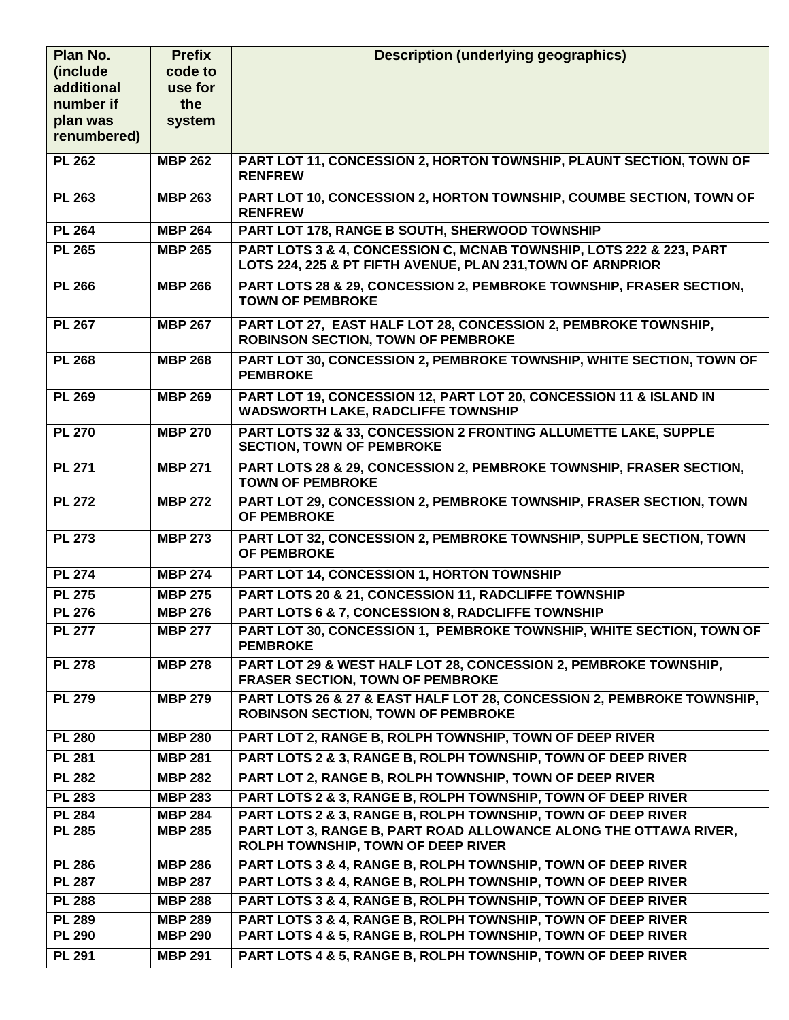| Plan No.      | <b>Prefix</b>  | <b>Description (underlying geographics)</b>                                                                                        |
|---------------|----------------|------------------------------------------------------------------------------------------------------------------------------------|
| (include)     | code to        |                                                                                                                                    |
| additional    | use for        |                                                                                                                                    |
| number if     | the            |                                                                                                                                    |
| plan was      | system         |                                                                                                                                    |
| renumbered)   |                |                                                                                                                                    |
| <b>PL 262</b> | <b>MBP 262</b> | PART LOT 11, CONCESSION 2, HORTON TOWNSHIP, PLAUNT SECTION, TOWN OF<br><b>RENFREW</b>                                              |
| <b>PL 263</b> | <b>MBP 263</b> | PART LOT 10, CONCESSION 2, HORTON TOWNSHIP, COUMBE SECTION, TOWN OF<br><b>RENFREW</b>                                              |
| <b>PL 264</b> | <b>MBP 264</b> | PART LOT 178, RANGE B SOUTH, SHERWOOD TOWNSHIP                                                                                     |
| <b>PL 265</b> | <b>MBP 265</b> | PART LOTS 3 & 4, CONCESSION C, MCNAB TOWNSHIP, LOTS 222 & 223, PART<br>LOTS 224, 225 & PT FIFTH AVENUE, PLAN 231, TOWN OF ARNPRIOR |
| <b>PL 266</b> | <b>MBP 266</b> | PART LOTS 28 & 29, CONCESSION 2, PEMBROKE TOWNSHIP, FRASER SECTION,<br><b>TOWN OF PEMBROKE</b>                                     |
| <b>PL 267</b> | <b>MBP 267</b> | PART LOT 27, EAST HALF LOT 28, CONCESSION 2, PEMBROKE TOWNSHIP,<br><b>ROBINSON SECTION, TOWN OF PEMBROKE</b>                       |
| <b>PL 268</b> | <b>MBP 268</b> | PART LOT 30, CONCESSION 2, PEMBROKE TOWNSHIP, WHITE SECTION, TOWN OF<br><b>PEMBROKE</b>                                            |
| <b>PL 269</b> | <b>MBP 269</b> | PART LOT 19, CONCESSION 12, PART LOT 20, CONCESSION 11 & ISLAND IN<br><b>WADSWORTH LAKE, RADCLIFFE TOWNSHIP</b>                    |
| <b>PL 270</b> | <b>MBP 270</b> | PART LOTS 32 & 33, CONCESSION 2 FRONTING ALLUMETTE LAKE, SUPPLE<br><b>SECTION, TOWN OF PEMBROKE</b>                                |
| <b>PL 271</b> | <b>MBP 271</b> | PART LOTS 28 & 29, CONCESSION 2, PEMBROKE TOWNSHIP, FRASER SECTION,<br><b>TOWN OF PEMBROKE</b>                                     |
| <b>PL 272</b> | <b>MBP 272</b> | PART LOT 29, CONCESSION 2, PEMBROKE TOWNSHIP, FRASER SECTION, TOWN<br><b>OF PEMBROKE</b>                                           |
| <b>PL 273</b> | <b>MBP 273</b> | PART LOT 32, CONCESSION 2, PEMBROKE TOWNSHIP, SUPPLE SECTION, TOWN<br><b>OF PEMBROKE</b>                                           |
| <b>PL 274</b> | <b>MBP 274</b> | PART LOT 14, CONCESSION 1, HORTON TOWNSHIP                                                                                         |
| <b>PL 275</b> | <b>MBP 275</b> | PART LOTS 20 & 21, CONCESSION 11, RADCLIFFE TOWNSHIP                                                                               |
| <b>PL 276</b> | <b>MBP 276</b> | PART LOTS 6 & 7, CONCESSION 8, RADCLIFFE TOWNSHIP                                                                                  |
| <b>PL 277</b> | <b>MBP 277</b> | PART LOT 30, CONCESSION 1, PEMBROKE TOWNSHIP, WHITE SECTION, TOWN OF<br><b>PEMBROKE</b>                                            |
| <b>PL 278</b> | <b>MBP 278</b> | PART LOT 29 & WEST HALF LOT 28, CONCESSION 2, PEMBROKE TOWNSHIP,<br><b>FRASER SECTION, TOWN OF PEMBROKE</b>                        |
| <b>PL 279</b> | <b>MBP 279</b> | PART LOTS 26 & 27 & EAST HALF LOT 28, CONCESSION 2, PEMBROKE TOWNSHIP,<br><b>ROBINSON SECTION, TOWN OF PEMBROKE</b>                |
| <b>PL 280</b> | <b>MBP 280</b> | PART LOT 2, RANGE B, ROLPH TOWNSHIP, TOWN OF DEEP RIVER                                                                            |
| <b>PL 281</b> | <b>MBP 281</b> | PART LOTS 2 & 3, RANGE B, ROLPH TOWNSHIP, TOWN OF DEEP RIVER                                                                       |
| <b>PL 282</b> | <b>MBP 282</b> | PART LOT 2, RANGE B, ROLPH TOWNSHIP, TOWN OF DEEP RIVER                                                                            |
| <b>PL 283</b> | <b>MBP 283</b> | PART LOTS 2 & 3, RANGE B, ROLPH TOWNSHIP, TOWN OF DEEP RIVER                                                                       |
| <b>PL 284</b> | <b>MBP 284</b> | PART LOTS 2 & 3, RANGE B, ROLPH TOWNSHIP, TOWN OF DEEP RIVER                                                                       |
| <b>PL 285</b> | <b>MBP 285</b> | PART LOT 3, RANGE B, PART ROAD ALLOWANCE ALONG THE OTTAWA RIVER,<br>ROLPH TOWNSHIP, TOWN OF DEEP RIVER                             |
| <b>PL 286</b> | <b>MBP 286</b> | PART LOTS 3 & 4, RANGE B, ROLPH TOWNSHIP, TOWN OF DEEP RIVER                                                                       |
| <b>PL 287</b> | <b>MBP 287</b> | PART LOTS 3 & 4, RANGE B, ROLPH TOWNSHIP, TOWN OF DEEP RIVER                                                                       |
| <b>PL 288</b> | <b>MBP 288</b> | PART LOTS 3 & 4, RANGE B, ROLPH TOWNSHIP, TOWN OF DEEP RIVER                                                                       |
| <b>PL 289</b> | <b>MBP 289</b> | PART LOTS 3 & 4, RANGE B, ROLPH TOWNSHIP, TOWN OF DEEP RIVER                                                                       |
| <b>PL 290</b> | <b>MBP 290</b> | PART LOTS 4 & 5, RANGE B, ROLPH TOWNSHIP, TOWN OF DEEP RIVER                                                                       |
| <b>PL 291</b> | <b>MBP 291</b> | PART LOTS 4 & 5, RANGE B, ROLPH TOWNSHIP, TOWN OF DEEP RIVER                                                                       |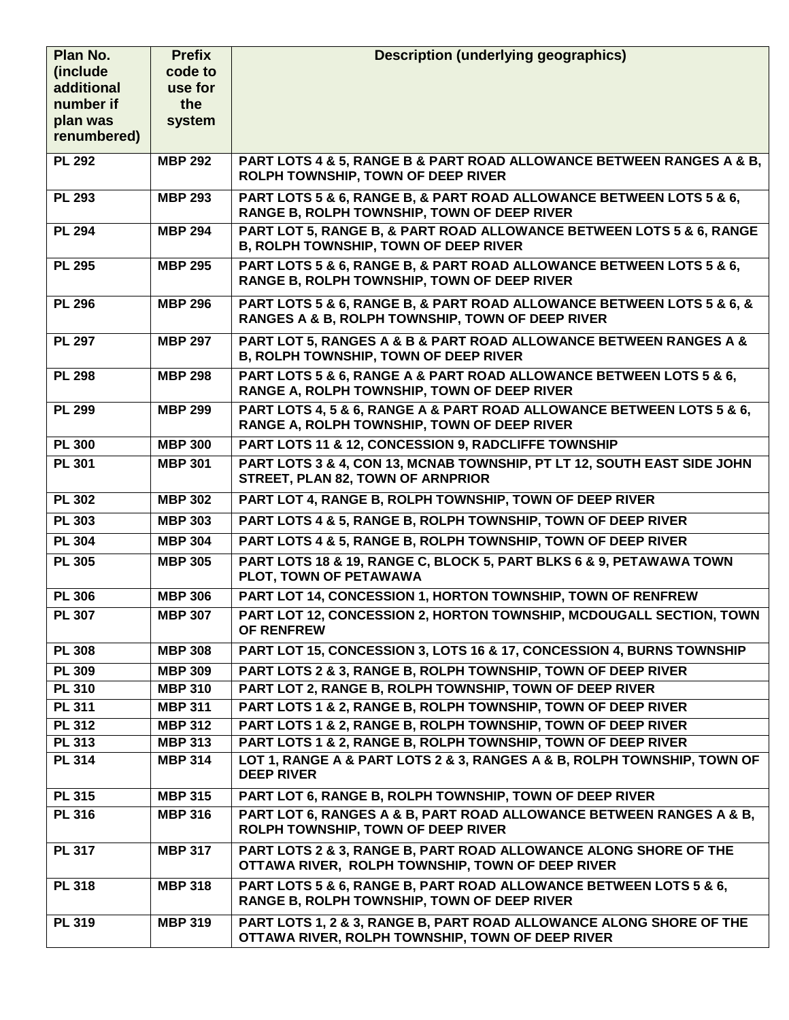| Plan No.                | <b>Prefix</b>  | <b>Description (underlying geographics)</b>                                                                               |
|-------------------------|----------------|---------------------------------------------------------------------------------------------------------------------------|
| (include                | code to        |                                                                                                                           |
| additional              | use for        |                                                                                                                           |
| number if               | the            |                                                                                                                           |
| plan was<br>renumbered) | system         |                                                                                                                           |
|                         |                |                                                                                                                           |
| <b>PL 292</b>           | <b>MBP 292</b> | PART LOTS 4 & 5, RANGE B & PART ROAD ALLOWANCE BETWEEN RANGES A & B,<br>ROLPH TOWNSHIP, TOWN OF DEEP RIVER                |
| <b>PL 293</b>           | <b>MBP 293</b> | PART LOTS 5 & 6, RANGE B, & PART ROAD ALLOWANCE BETWEEN LOTS 5 & 6,<br>RANGE B, ROLPH TOWNSHIP, TOWN OF DEEP RIVER        |
| <b>PL 294</b>           | <b>MBP 294</b> | PART LOT 5, RANGE B, & PART ROAD ALLOWANCE BETWEEN LOTS 5 & 6, RANGE<br><b>B, ROLPH TOWNSHIP, TOWN OF DEEP RIVER</b>      |
| <b>PL 295</b>           | <b>MBP 295</b> | PART LOTS 5 & 6, RANGE B, & PART ROAD ALLOWANCE BETWEEN LOTS 5 & 6,<br>RANGE B, ROLPH TOWNSHIP, TOWN OF DEEP RIVER        |
| <b>PL 296</b>           | <b>MBP 296</b> | PART LOTS 5 & 6, RANGE B, & PART ROAD ALLOWANCE BETWEEN LOTS 5 & 6, &<br>RANGES A & B, ROLPH TOWNSHIP, TOWN OF DEEP RIVER |
| <b>PL 297</b>           | <b>MBP 297</b> | PART LOT 5, RANGES A & B & PART ROAD ALLOWANCE BETWEEN RANGES A &<br><b>B, ROLPH TOWNSHIP, TOWN OF DEEP RIVER</b>         |
| <b>PL 298</b>           | <b>MBP 298</b> | PART LOTS 5 & 6, RANGE A & PART ROAD ALLOWANCE BETWEEN LOTS 5 & 6,<br>RANGE A, ROLPH TOWNSHIP, TOWN OF DEEP RIVER         |
| <b>PL 299</b>           | <b>MBP 299</b> | PART LOTS 4, 5 & 6, RANGE A & PART ROAD ALLOWANCE BETWEEN LOTS 5 & 6,<br>RANGE A, ROLPH TOWNSHIP, TOWN OF DEEP RIVER      |
| <b>PL 300</b>           | <b>MBP 300</b> | PART LOTS 11 & 12, CONCESSION 9, RADCLIFFE TOWNSHIP                                                                       |
| <b>PL 301</b>           | <b>MBP 301</b> | PART LOTS 3 & 4, CON 13, MCNAB TOWNSHIP, PT LT 12, SOUTH EAST SIDE JOHN<br>STREET, PLAN 82, TOWN OF ARNPRIOR              |
| <b>PL 302</b>           | <b>MBP 302</b> | PART LOT 4, RANGE B, ROLPH TOWNSHIP, TOWN OF DEEP RIVER                                                                   |
| <b>PL 303</b>           | <b>MBP 303</b> | PART LOTS 4 & 5, RANGE B, ROLPH TOWNSHIP, TOWN OF DEEP RIVER                                                              |
| <b>PL 304</b>           | <b>MBP 304</b> | PART LOTS 4 & 5, RANGE B, ROLPH TOWNSHIP, TOWN OF DEEP RIVER                                                              |
| <b>PL 305</b>           | <b>MBP 305</b> | PART LOTS 18 & 19, RANGE C, BLOCK 5, PART BLKS 6 & 9, PETAWAWA TOWN<br>PLOT, TOWN OF PETAWAWA                             |
| <b>PL 306</b>           | <b>MBP 306</b> | PART LOT 14, CONCESSION 1, HORTON TOWNSHIP, TOWN OF RENFREW                                                               |
| <b>PL 307</b>           | <b>MBP 307</b> | PART LOT 12, CONCESSION 2, HORTON TOWNSHIP, MCDOUGALL SECTION, TOWN<br><b>OF RENFREW</b>                                  |
| <b>PL 308</b>           | <b>MBP 308</b> | PART LOT 15, CONCESSION 3, LOTS 16 & 17, CONCESSION 4, BURNS TOWNSHIP                                                     |
| <b>PL 309</b>           | <b>MBP 309</b> | PART LOTS 2 & 3, RANGE B, ROLPH TOWNSHIP, TOWN OF DEEP RIVER                                                              |
| <b>PL 310</b>           | <b>MBP 310</b> | PART LOT 2, RANGE B, ROLPH TOWNSHIP, TOWN OF DEEP RIVER                                                                   |
| <b>PL 311</b>           | <b>MBP 311</b> | PART LOTS 1 & 2, RANGE B, ROLPH TOWNSHIP, TOWN OF DEEP RIVER                                                              |
| <b>PL 312</b>           | <b>MBP 312</b> | PART LOTS 1 & 2, RANGE B, ROLPH TOWNSHIP, TOWN OF DEEP RIVER                                                              |
| <b>PL 313</b>           | <b>MBP 313</b> | PART LOTS 1 & 2, RANGE B, ROLPH TOWNSHIP, TOWN OF DEEP RIVER                                                              |
| <b>PL 314</b>           | <b>MBP 314</b> | LOT 1, RANGE A & PART LOTS 2 & 3, RANGES A & B, ROLPH TOWNSHIP, TOWN OF<br><b>DEEP RIVER</b>                              |
| <b>PL 315</b>           | <b>MBP 315</b> | PART LOT 6, RANGE B, ROLPH TOWNSHIP, TOWN OF DEEP RIVER                                                                   |
| <b>PL 316</b>           | <b>MBP 316</b> | PART LOT 6, RANGES A & B, PART ROAD ALLOWANCE BETWEEN RANGES A & B,<br>ROLPH TOWNSHIP, TOWN OF DEEP RIVER                 |
| <b>PL 317</b>           | <b>MBP 317</b> | PART LOTS 2 & 3, RANGE B, PART ROAD ALLOWANCE ALONG SHORE OF THE<br>OTTAWA RIVER, ROLPH TOWNSHIP, TOWN OF DEEP RIVER      |
| <b>PL 318</b>           | <b>MBP 318</b> | PART LOTS 5 & 6, RANGE B, PART ROAD ALLOWANCE BETWEEN LOTS 5 & 6,<br>RANGE B, ROLPH TOWNSHIP, TOWN OF DEEP RIVER          |
| <b>PL 319</b>           | <b>MBP 319</b> | PART LOTS 1, 2 & 3, RANGE B, PART ROAD ALLOWANCE ALONG SHORE OF THE<br>OTTAWA RIVER, ROLPH TOWNSHIP, TOWN OF DEEP RIVER   |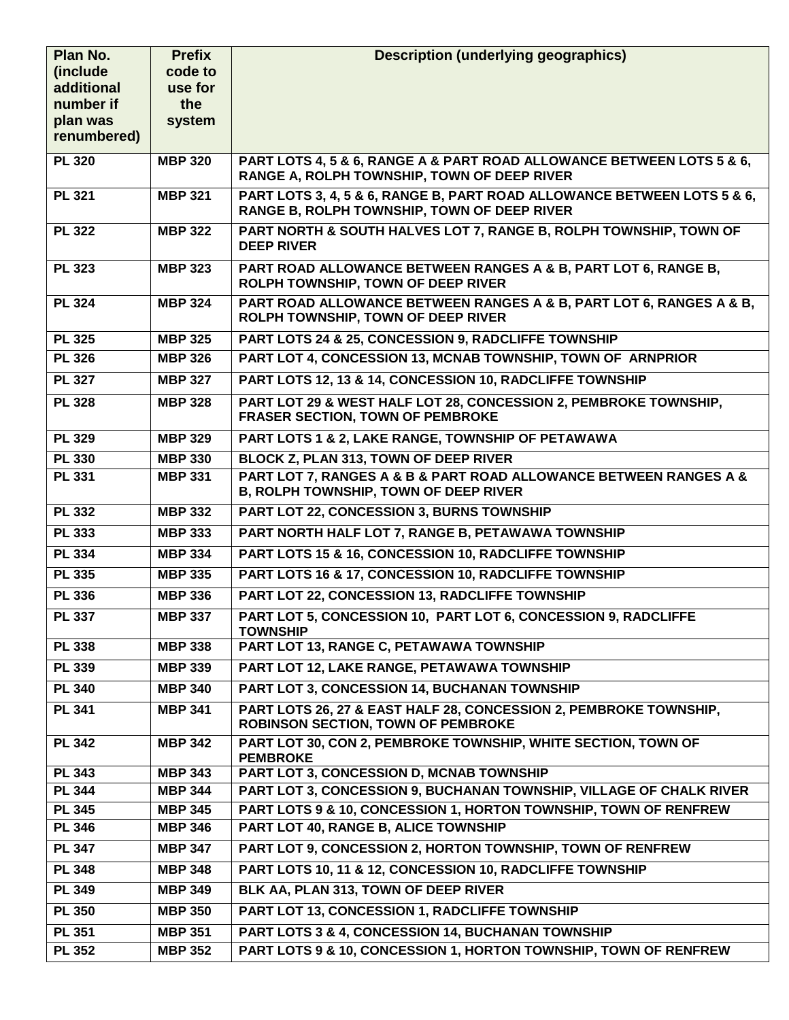| Plan No.                | <b>Prefix</b>  | <b>Description (underlying geographics)</b>                                                                            |
|-------------------------|----------------|------------------------------------------------------------------------------------------------------------------------|
| (include                | code to        |                                                                                                                        |
| additional              | use for        |                                                                                                                        |
| number if               | the            |                                                                                                                        |
| plan was<br>renumbered) | system         |                                                                                                                        |
|                         |                |                                                                                                                        |
| <b>PL 320</b>           | <b>MBP 320</b> | PART LOTS 4, 5 & 6, RANGE A & PART ROAD ALLOWANCE BETWEEN LOTS 5 & 6,<br>RANGE A, ROLPH TOWNSHIP, TOWN OF DEEP RIVER   |
| <b>PL 321</b>           | <b>MBP 321</b> | PART LOTS 3, 4, 5 & 6, RANGE B, PART ROAD ALLOWANCE BETWEEN LOTS 5 & 6,<br>RANGE B, ROLPH TOWNSHIP, TOWN OF DEEP RIVER |
| <b>PL 322</b>           | <b>MBP 322</b> | PART NORTH & SOUTH HALVES LOT 7, RANGE B, ROLPH TOWNSHIP, TOWN OF<br><b>DEEP RIVER</b>                                 |
| <b>PL 323</b>           | <b>MBP 323</b> | PART ROAD ALLOWANCE BETWEEN RANGES A & B, PART LOT 6, RANGE B,<br>ROLPH TOWNSHIP, TOWN OF DEEP RIVER                   |
| <b>PL 324</b>           | <b>MBP 324</b> | PART ROAD ALLOWANCE BETWEEN RANGES A & B, PART LOT 6, RANGES A & B,<br>ROLPH TOWNSHIP, TOWN OF DEEP RIVER              |
| <b>PL 325</b>           | <b>MBP 325</b> | PART LOTS 24 & 25, CONCESSION 9, RADCLIFFE TOWNSHIP                                                                    |
| <b>PL 326</b>           | <b>MBP 326</b> | PART LOT 4, CONCESSION 13, MCNAB TOWNSHIP, TOWN OF ARNPRIOR                                                            |
| <b>PL 327</b>           | <b>MBP 327</b> | PART LOTS 12, 13 & 14, CONCESSION 10, RADCLIFFE TOWNSHIP                                                               |
| <b>PL 328</b>           | <b>MBP 328</b> | PART LOT 29 & WEST HALF LOT 28, CONCESSION 2, PEMBROKE TOWNSHIP,<br><b>FRASER SECTION, TOWN OF PEMBROKE</b>            |
| <b>PL 329</b>           | <b>MBP 329</b> | PART LOTS 1 & 2, LAKE RANGE, TOWNSHIP OF PETAWAWA                                                                      |
| <b>PL 330</b>           | <b>MBP 330</b> | <b>BLOCK Z, PLAN 313, TOWN OF DEEP RIVER</b>                                                                           |
| <b>PL 331</b>           | <b>MBP 331</b> | PART LOT 7, RANGES A & B & PART ROAD ALLOWANCE BETWEEN RANGES A &<br>B, ROLPH TOWNSHIP, TOWN OF DEEP RIVER             |
| <b>PL 332</b>           | <b>MBP 332</b> | <b>PART LOT 22, CONCESSION 3, BURNS TOWNSHIP</b>                                                                       |
| <b>PL 333</b>           | <b>MBP 333</b> | PART NORTH HALF LOT 7, RANGE B, PETAWAWA TOWNSHIP                                                                      |
| <b>PL 334</b>           | <b>MBP 334</b> | PART LOTS 15 & 16, CONCESSION 10, RADCLIFFE TOWNSHIP                                                                   |
| <b>PL 335</b>           | <b>MBP 335</b> | PART LOTS 16 & 17, CONCESSION 10, RADCLIFFE TOWNSHIP                                                                   |
| <b>PL 336</b>           | <b>MBP 336</b> | PART LOT 22, CONCESSION 13, RADCLIFFE TOWNSHIP                                                                         |
| <b>PL 337</b>           | <b>MBP 337</b> | PART LOT 5, CONCESSION 10, PART LOT 6, CONCESSION 9, RADCLIFFE<br><b>TOWNSHIP</b>                                      |
| <b>PL 338</b>           | <b>MBP 338</b> | PART LOT 13, RANGE C, PETAWAWA TOWNSHIP                                                                                |
| <b>PL 339</b>           | <b>MBP 339</b> | PART LOT 12, LAKE RANGE, PETAWAWA TOWNSHIP                                                                             |
| <b>PL 340</b>           | <b>MBP 340</b> | PART LOT 3, CONCESSION 14, BUCHANAN TOWNSHIP                                                                           |
| <b>PL 341</b>           | <b>MBP 341</b> | PART LOTS 26, 27 & EAST HALF 28, CONCESSION 2, PEMBROKE TOWNSHIP,<br><b>ROBINSON SECTION, TOWN OF PEMBROKE</b>         |
| <b>PL 342</b>           | <b>MBP 342</b> | PART LOT 30, CON 2, PEMBROKE TOWNSHIP, WHITE SECTION, TOWN OF<br><b>PEMBROKE</b>                                       |
| <b>PL 343</b>           | <b>MBP 343</b> | PART LOT 3, CONCESSION D, MCNAB TOWNSHIP                                                                               |
| <b>PL 344</b>           | <b>MBP 344</b> | PART LOT 3, CONCESSION 9, BUCHANAN TOWNSHIP, VILLAGE OF CHALK RIVER                                                    |
| <b>PL 345</b>           | <b>MBP 345</b> | PART LOTS 9 & 10, CONCESSION 1, HORTON TOWNSHIP, TOWN OF RENFREW                                                       |
| <b>PL 346</b>           | <b>MBP 346</b> | PART LOT 40, RANGE B, ALICE TOWNSHIP                                                                                   |
| <b>PL 347</b>           | <b>MBP 347</b> | PART LOT 9, CONCESSION 2, HORTON TOWNSHIP, TOWN OF RENFREW                                                             |
| <b>PL 348</b>           | <b>MBP 348</b> | PART LOTS 10, 11 & 12, CONCESSION 10, RADCLIFFE TOWNSHIP                                                               |
| <b>PL 349</b>           | <b>MBP 349</b> | BLK AA, PLAN 313, TOWN OF DEEP RIVER                                                                                   |
| <b>PL 350</b>           | <b>MBP 350</b> | PART LOT 13, CONCESSION 1, RADCLIFFE TOWNSHIP                                                                          |
| <b>PL 351</b>           | <b>MBP 351</b> | PART LOTS 3 & 4, CONCESSION 14, BUCHANAN TOWNSHIP                                                                      |
| <b>PL 352</b>           | <b>MBP 352</b> | PART LOTS 9 & 10, CONCESSION 1, HORTON TOWNSHIP, TOWN OF RENFREW                                                       |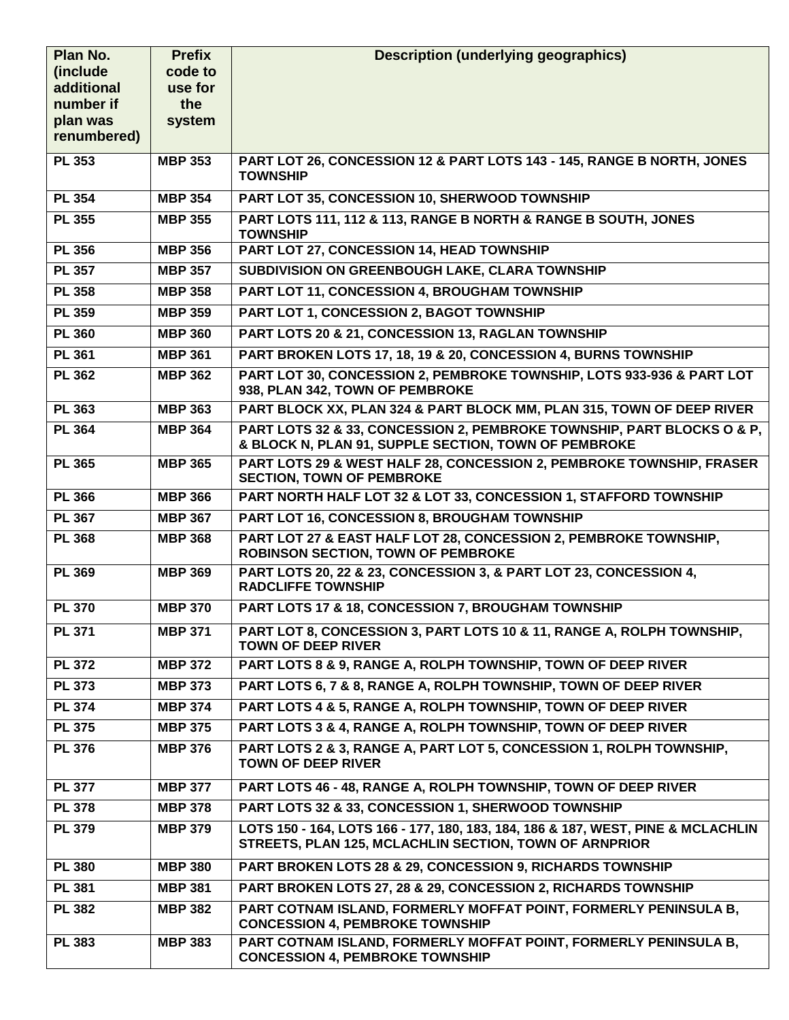| Plan No.              | <b>Prefix</b>  | <b>Description (underlying geographics)</b>                                                                                                |
|-----------------------|----------------|--------------------------------------------------------------------------------------------------------------------------------------------|
| (include)             | code to        |                                                                                                                                            |
| additional            | use for        |                                                                                                                                            |
| number if<br>plan was | the<br>system  |                                                                                                                                            |
| renumbered)           |                |                                                                                                                                            |
| <b>PL 353</b>         | <b>MBP 353</b> | PART LOT 26, CONCESSION 12 & PART LOTS 143 - 145, RANGE B NORTH, JONES                                                                     |
|                       |                | <b>TOWNSHIP</b>                                                                                                                            |
| <b>PL 354</b>         | <b>MBP 354</b> | PART LOT 35, CONCESSION 10, SHERWOOD TOWNSHIP                                                                                              |
| <b>PL 355</b>         | <b>MBP 355</b> | PART LOTS 111, 112 & 113, RANGE B NORTH & RANGE B SOUTH, JONES<br><b>TOWNSHIP</b>                                                          |
| <b>PL 356</b>         | <b>MBP 356</b> | PART LOT 27, CONCESSION 14, HEAD TOWNSHIP                                                                                                  |
| <b>PL 357</b>         | <b>MBP 357</b> | SUBDIVISION ON GREENBOUGH LAKE, CLARA TOWNSHIP                                                                                             |
| <b>PL 358</b>         | <b>MBP 358</b> | PART LOT 11, CONCESSION 4, BROUGHAM TOWNSHIP                                                                                               |
| <b>PL 359</b>         | <b>MBP 359</b> | PART LOT 1, CONCESSION 2, BAGOT TOWNSHIP                                                                                                   |
| <b>PL 360</b>         | <b>MBP 360</b> | PART LOTS 20 & 21, CONCESSION 13, RAGLAN TOWNSHIP                                                                                          |
| <b>PL 361</b>         | <b>MBP 361</b> | PART BROKEN LOTS 17, 18, 19 & 20, CONCESSION 4, BURNS TOWNSHIP                                                                             |
| <b>PL 362</b>         | <b>MBP 362</b> | PART LOT 30, CONCESSION 2, PEMBROKE TOWNSHIP, LOTS 933-936 & PART LOT<br>938, PLAN 342, TOWN OF PEMBROKE                                   |
| <b>PL 363</b>         | <b>MBP 363</b> | PART BLOCK XX, PLAN 324 & PART BLOCK MM, PLAN 315, TOWN OF DEEP RIVER                                                                      |
| <b>PL 364</b>         | <b>MBP 364</b> | PART LOTS 32 & 33, CONCESSION 2, PEMBROKE TOWNSHIP, PART BLOCKS O & P,<br>& BLOCK N, PLAN 91, SUPPLE SECTION, TOWN OF PEMBROKE             |
| <b>PL 365</b>         | <b>MBP 365</b> | PART LOTS 29 & WEST HALF 28, CONCESSION 2, PEMBROKE TOWNSHIP, FRASER<br><b>SECTION, TOWN OF PEMBROKE</b>                                   |
| <b>PL 366</b>         | <b>MBP 366</b> | PART NORTH HALF LOT 32 & LOT 33, CONCESSION 1, STAFFORD TOWNSHIP                                                                           |
| <b>PL 367</b>         | <b>MBP 367</b> | PART LOT 16, CONCESSION 8, BROUGHAM TOWNSHIP                                                                                               |
| <b>PL 368</b>         | <b>MBP 368</b> | PART LOT 27 & EAST HALF LOT 28, CONCESSION 2, PEMBROKE TOWNSHIP,<br><b>ROBINSON SECTION, TOWN OF PEMBROKE</b>                              |
| <b>PL 369</b>         | <b>MBP 369</b> | PART LOTS 20, 22 & 23, CONCESSION 3, & PART LOT 23, CONCESSION 4,<br><b>RADCLIFFE TOWNSHIP</b>                                             |
| <b>PL 370</b>         | <b>MBP 370</b> | PART LOTS 17 & 18, CONCESSION 7, BROUGHAM TOWNSHIP                                                                                         |
| <b>PL 371</b>         | <b>MBP 371</b> | PART LOT 8, CONCESSION 3, PART LOTS 10 & 11, RANGE A, ROLPH TOWNSHIP,<br><b>TOWN OF DEEP RIVER</b>                                         |
| <b>PL 372</b>         | <b>MBP 372</b> | PART LOTS 8 & 9, RANGE A, ROLPH TOWNSHIP, TOWN OF DEEP RIVER                                                                               |
| <b>PL 373</b>         | <b>MBP 373</b> | PART LOTS 6, 7 & 8, RANGE A, ROLPH TOWNSHIP, TOWN OF DEEP RIVER                                                                            |
| <b>PL 374</b>         | <b>MBP 374</b> | PART LOTS 4 & 5, RANGE A, ROLPH TOWNSHIP, TOWN OF DEEP RIVER                                                                               |
| <b>PL 375</b>         | <b>MBP 375</b> | PART LOTS 3 & 4, RANGE A, ROLPH TOWNSHIP, TOWN OF DEEP RIVER                                                                               |
| <b>PL 376</b>         | <b>MBP 376</b> | PART LOTS 2 & 3, RANGE A, PART LOT 5, CONCESSION 1, ROLPH TOWNSHIP,<br><b>TOWN OF DEEP RIVER</b>                                           |
| <b>PL 377</b>         | <b>MBP 377</b> | PART LOTS 46 - 48, RANGE A, ROLPH TOWNSHIP, TOWN OF DEEP RIVER                                                                             |
| <b>PL 378</b>         | <b>MBP 378</b> | PART LOTS 32 & 33, CONCESSION 1, SHERWOOD TOWNSHIP                                                                                         |
| <b>PL 379</b>         | <b>MBP 379</b> | LOTS 150 - 164, LOTS 166 - 177, 180, 183, 184, 186 & 187, WEST, PINE & MCLACHLIN<br>STREETS, PLAN 125, MCLACHLIN SECTION, TOWN OF ARNPRIOR |
| <b>PL 380</b>         | <b>MBP 380</b> | PART BROKEN LOTS 28 & 29, CONCESSION 9, RICHARDS TOWNSHIP                                                                                  |
| <b>PL 381</b>         | <b>MBP 381</b> | <b>PART BROKEN LOTS 27, 28 &amp; 29, CONCESSION 2, RICHARDS TOWNSHIP</b>                                                                   |
| <b>PL 382</b>         | <b>MBP 382</b> | PART COTNAM ISLAND, FORMERLY MOFFAT POINT, FORMERLY PENINSULA B,<br><b>CONCESSION 4, PEMBROKE TOWNSHIP</b>                                 |
| <b>PL 383</b>         | <b>MBP 383</b> | PART COTNAM ISLAND, FORMERLY MOFFAT POINT, FORMERLY PENINSULA B,<br><b>CONCESSION 4, PEMBROKE TOWNSHIP</b>                                 |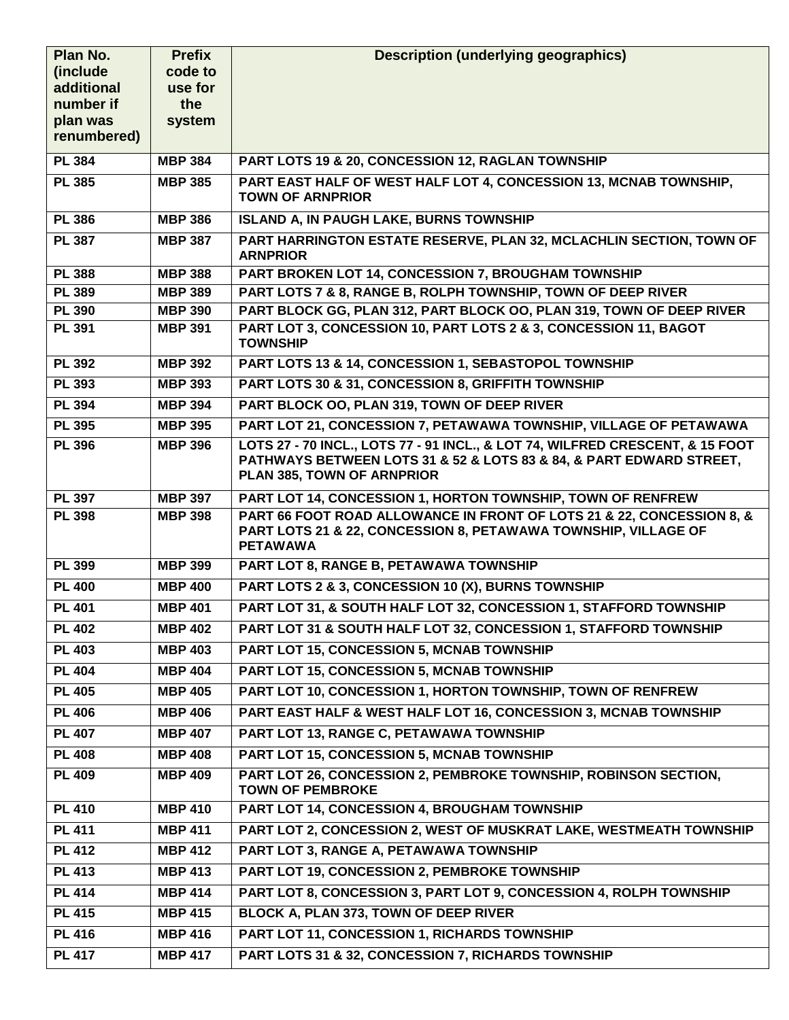| Plan No.               | <b>Prefix</b>      | <b>Description (underlying geographics)</b>                                                                                                                                        |
|------------------------|--------------------|------------------------------------------------------------------------------------------------------------------------------------------------------------------------------------|
| (include<br>additional | code to<br>use for |                                                                                                                                                                                    |
| number if              | the                |                                                                                                                                                                                    |
| plan was               | system             |                                                                                                                                                                                    |
| renumbered)            |                    |                                                                                                                                                                                    |
| <b>PL 384</b>          | <b>MBP 384</b>     | PART LOTS 19 & 20, CONCESSION 12, RAGLAN TOWNSHIP                                                                                                                                  |
| <b>PL 385</b>          | <b>MBP 385</b>     | PART EAST HALF OF WEST HALF LOT 4, CONCESSION 13, MCNAB TOWNSHIP,<br><b>TOWN OF ARNPRIOR</b>                                                                                       |
| <b>PL 386</b>          | <b>MBP 386</b>     | <b>ISLAND A, IN PAUGH LAKE, BURNS TOWNSHIP</b>                                                                                                                                     |
| <b>PL 387</b>          | <b>MBP 387</b>     | PART HARRINGTON ESTATE RESERVE, PLAN 32, MCLACHLIN SECTION, TOWN OF<br><b>ARNPRIOR</b>                                                                                             |
| <b>PL 388</b>          | <b>MBP 388</b>     | PART BROKEN LOT 14, CONCESSION 7, BROUGHAM TOWNSHIP                                                                                                                                |
| <b>PL 389</b>          | <b>MBP 389</b>     | PART LOTS 7 & 8, RANGE B, ROLPH TOWNSHIP, TOWN OF DEEP RIVER                                                                                                                       |
| <b>PL 390</b>          | <b>MBP 390</b>     | PART BLOCK GG, PLAN 312, PART BLOCK OO, PLAN 319, TOWN OF DEEP RIVER                                                                                                               |
| <b>PL 391</b>          | <b>MBP 391</b>     | PART LOT 3, CONCESSION 10, PART LOTS 2 & 3, CONCESSION 11, BAGOT<br><b>TOWNSHIP</b>                                                                                                |
| <b>PL 392</b>          | <b>MBP 392</b>     | PART LOTS 13 & 14, CONCESSION 1, SEBASTOPOL TOWNSHIP                                                                                                                               |
| <b>PL 393</b>          | <b>MBP 393</b>     | PART LOTS 30 & 31, CONCESSION 8, GRIFFITH TOWNSHIP                                                                                                                                 |
| <b>PL 394</b>          | <b>MBP 394</b>     | PART BLOCK OO, PLAN 319, TOWN OF DEEP RIVER                                                                                                                                        |
| <b>PL 395</b>          | <b>MBP 395</b>     | PART LOT 21, CONCESSION 7, PETAWAWA TOWNSHIP, VILLAGE OF PETAWAWA                                                                                                                  |
| <b>PL 396</b>          | <b>MBP 396</b>     | LOTS 27 - 70 INCL., LOTS 77 - 91 INCL., & LOT 74, WILFRED CRESCENT, & 15 FOOT<br>PATHWAYS BETWEEN LOTS 31 & 52 & LOTS 83 & 84, & PART EDWARD STREET,<br>PLAN 385, TOWN OF ARNPRIOR |
| <b>PL 397</b>          | <b>MBP 397</b>     | PART LOT 14, CONCESSION 1, HORTON TOWNSHIP, TOWN OF RENFREW                                                                                                                        |
| <b>PL 398</b>          | <b>MBP 398</b>     | PART 66 FOOT ROAD ALLOWANCE IN FRONT OF LOTS 21 & 22, CONCESSION 8, &<br>PART LOTS 21 & 22, CONCESSION 8, PETAWAWA TOWNSHIP, VILLAGE OF<br><b>PETAWAWA</b>                         |
| <b>PL 399</b>          | <b>MBP 399</b>     | PART LOT 8, RANGE B, PETAWAWA TOWNSHIP                                                                                                                                             |
| <b>PL 400</b>          | <b>MBP 400</b>     | PART LOTS 2 & 3, CONCESSION 10 (X), BURNS TOWNSHIP                                                                                                                                 |
| <b>PL 401</b>          | <b>MBP 401</b>     | PART LOT 31, & SOUTH HALF LOT 32, CONCESSION 1, STAFFORD TOWNSHIP                                                                                                                  |
| <b>PL 402</b>          | <b>MBP 402</b>     | PART LOT 31 & SOUTH HALF LOT 32, CONCESSION 1, STAFFORD TOWNSHIP                                                                                                                   |
| <b>PL 403</b>          | <b>MBP 403</b>     | <b>PART LOT 15, CONCESSION 5, MCNAB TOWNSHIP</b>                                                                                                                                   |
| <b>PL 404</b>          | <b>MBP 404</b>     | PART LOT 15, CONCESSION 5, MCNAB TOWNSHIP                                                                                                                                          |
| <b>PL 405</b>          | <b>MBP 405</b>     | PART LOT 10, CONCESSION 1, HORTON TOWNSHIP, TOWN OF RENFREW                                                                                                                        |
| <b>PL 406</b>          | <b>MBP 406</b>     | PART EAST HALF & WEST HALF LOT 16, CONCESSION 3, MCNAB TOWNSHIP                                                                                                                    |
| <b>PL 407</b>          | <b>MBP 407</b>     | PART LOT 13, RANGE C, PETAWAWA TOWNSHIP                                                                                                                                            |
| <b>PL 408</b>          | <b>MBP 408</b>     | <b>PART LOT 15, CONCESSION 5, MCNAB TOWNSHIP</b>                                                                                                                                   |
| <b>PL 409</b>          | <b>MBP 409</b>     | PART LOT 26, CONCESSION 2, PEMBROKE TOWNSHIP, ROBINSON SECTION,<br><b>TOWN OF PEMBROKE</b>                                                                                         |
| <b>PL 410</b>          | <b>MBP 410</b>     | PART LOT 14, CONCESSION 4, BROUGHAM TOWNSHIP                                                                                                                                       |
| <b>PL 411</b>          | <b>MBP 411</b>     | PART LOT 2, CONCESSION 2, WEST OF MUSKRAT LAKE, WESTMEATH TOWNSHIP                                                                                                                 |
| <b>PL 412</b>          | <b>MBP 412</b>     | PART LOT 3, RANGE A, PETAWAWA TOWNSHIP                                                                                                                                             |
| <b>PL 413</b>          | <b>MBP 413</b>     | PART LOT 19, CONCESSION 2, PEMBROKE TOWNSHIP                                                                                                                                       |
| <b>PL 414</b>          | <b>MBP 414</b>     | PART LOT 8, CONCESSION 3, PART LOT 9, CONCESSION 4, ROLPH TOWNSHIP                                                                                                                 |
| <b>PL 415</b>          | <b>MBP 415</b>     | BLOCK A, PLAN 373, TOWN OF DEEP RIVER                                                                                                                                              |
| <b>PL 416</b>          | <b>MBP 416</b>     | PART LOT 11, CONCESSION 1, RICHARDS TOWNSHIP                                                                                                                                       |
| <b>PL 417</b>          | <b>MBP 417</b>     | PART LOTS 31 & 32, CONCESSION 7, RICHARDS TOWNSHIP                                                                                                                                 |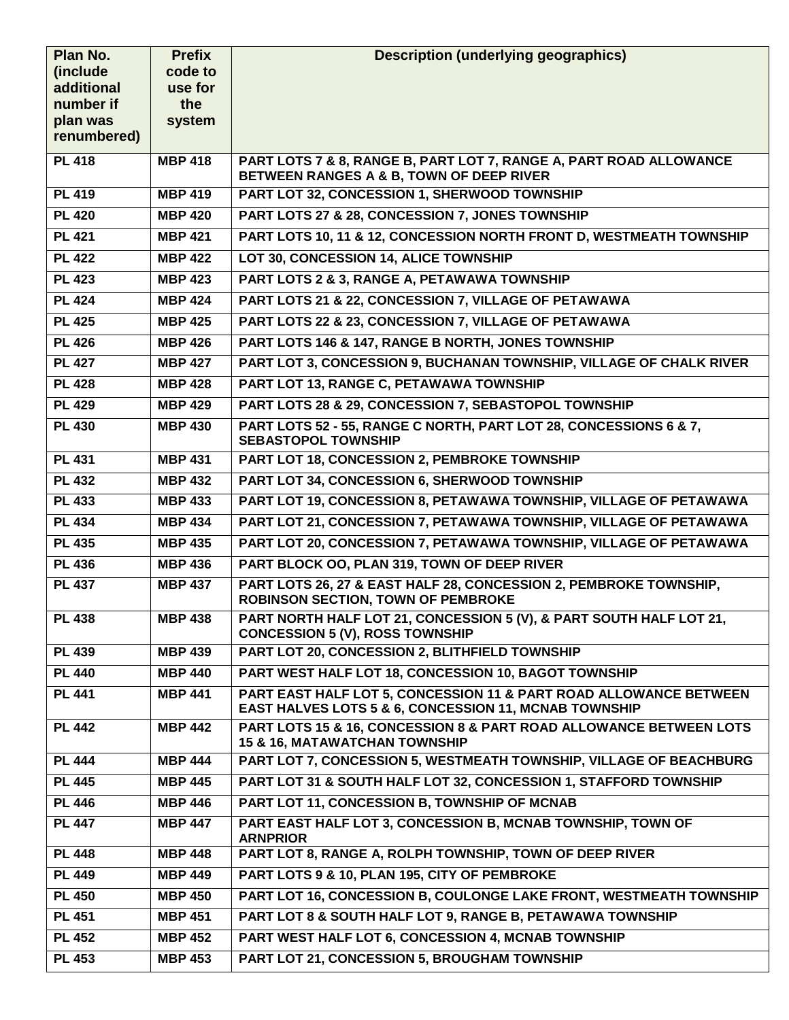| Plan No.              | <b>Prefix</b>  | <b>Description (underlying geographics)</b>                                                                                |
|-----------------------|----------------|----------------------------------------------------------------------------------------------------------------------------|
| (include)             | code to        |                                                                                                                            |
| additional            | use for<br>the |                                                                                                                            |
| number if<br>plan was | system         |                                                                                                                            |
| renumbered)           |                |                                                                                                                            |
| <b>PL 418</b>         | <b>MBP 418</b> | PART LOTS 7 & 8, RANGE B, PART LOT 7, RANGE A, PART ROAD ALLOWANCE<br>BETWEEN RANGES A & B, TOWN OF DEEP RIVER             |
| <b>PL 419</b>         | <b>MBP 419</b> | PART LOT 32, CONCESSION 1, SHERWOOD TOWNSHIP                                                                               |
| <b>PL 420</b>         | <b>MBP 420</b> | PART LOTS 27 & 28, CONCESSION 7, JONES TOWNSHIP                                                                            |
| <b>PL 421</b>         | <b>MBP 421</b> | PART LOTS 10, 11 & 12, CONCESSION NORTH FRONT D, WESTMEATH TOWNSHIP                                                        |
| <b>PL 422</b>         | <b>MBP 422</b> | LOT 30, CONCESSION 14, ALICE TOWNSHIP                                                                                      |
| <b>PL 423</b>         | <b>MBP 423</b> | PART LOTS 2 & 3, RANGE A, PETAWAWA TOWNSHIP                                                                                |
| <b>PL 424</b>         | <b>MBP 424</b> | PART LOTS 21 & 22, CONCESSION 7, VILLAGE OF PETAWAWA                                                                       |
| <b>PL 425</b>         | <b>MBP 425</b> | PART LOTS 22 & 23, CONCESSION 7, VILLAGE OF PETAWAWA                                                                       |
| <b>PL 426</b>         | <b>MBP 426</b> | PART LOTS 146 & 147, RANGE B NORTH, JONES TOWNSHIP                                                                         |
| <b>PL 427</b>         | <b>MBP 427</b> | PART LOT 3, CONCESSION 9, BUCHANAN TOWNSHIP, VILLAGE OF CHALK RIVER                                                        |
| $\overline{PL}$ 428   | <b>MBP 428</b> | PART LOT 13, RANGE C, PETAWAWA TOWNSHIP                                                                                    |
| <b>PL 429</b>         | <b>MBP 429</b> | PART LOTS 28 & 29, CONCESSION 7, SEBASTOPOL TOWNSHIP                                                                       |
| <b>PL 430</b>         | <b>MBP 430</b> | PART LOTS 52 - 55, RANGE C NORTH, PART LOT 28, CONCESSIONS 6 & 7,<br><b>SEBASTOPOL TOWNSHIP</b>                            |
| <b>PL 431</b>         | <b>MBP 431</b> | PART LOT 18, CONCESSION 2, PEMBROKE TOWNSHIP                                                                               |
| <b>PL 432</b>         | <b>MBP 432</b> | PART LOT 34, CONCESSION 6, SHERWOOD TOWNSHIP                                                                               |
| <b>PL 433</b>         | <b>MBP 433</b> | PART LOT 19, CONCESSION 8, PETAWAWA TOWNSHIP, VILLAGE OF PETAWAWA                                                          |
| <b>PL 434</b>         | <b>MBP 434</b> | PART LOT 21, CONCESSION 7, PETAWAWA TOWNSHIP, VILLAGE OF PETAWAWA                                                          |
| <b>PL 435</b>         | <b>MBP 435</b> | PART LOT 20, CONCESSION 7, PETAWAWA TOWNSHIP, VILLAGE OF PETAWAWA                                                          |
| <b>PL 436</b>         | <b>MBP 436</b> | PART BLOCK OO, PLAN 319, TOWN OF DEEP RIVER                                                                                |
| <b>PL 437</b>         | <b>MBP 437</b> | PART LOTS 26, 27 & EAST HALF 28, CONCESSION 2, PEMBROKE TOWNSHIP,<br><b>ROBINSON SECTION, TOWN OF PEMBROKE</b>             |
| <b>PL 438</b>         | <b>MBP 438</b> | PART NORTH HALF LOT 21, CONCESSION 5 (V), & PART SOUTH HALF LOT 21,<br><b>CONCESSION 5 (V), ROSS TOWNSHIP</b>              |
| <b>PL 439</b>         | <b>MBP 439</b> | PART LOT 20, CONCESSION 2, BLITHFIELD TOWNSHIP                                                                             |
| <b>PL 440</b>         | <b>MBP 440</b> | PART WEST HALF LOT 18, CONCESSION 10, BAGOT TOWNSHIP                                                                       |
| <b>PL 441</b>         | <b>MBP 441</b> | PART EAST HALF LOT 5, CONCESSION 11 & PART ROAD ALLOWANCE BETWEEN<br>EAST HALVES LOTS 5 & 6, CONCESSION 11, MCNAB TOWNSHIP |
| <b>PL 442</b>         | <b>MBP 442</b> | PART LOTS 15 & 16, CONCESSION 8 & PART ROAD ALLOWANCE BETWEEN LOTS<br>15 & 16, MATAWATCHAN TOWNSHIP                        |
| <b>PL 444</b>         | <b>MBP 444</b> | PART LOT 7, CONCESSION 5, WESTMEATH TOWNSHIP, VILLAGE OF BEACHBURG                                                         |
| <b>PL 445</b>         | <b>MBP 445</b> | PART LOT 31 & SOUTH HALF LOT 32, CONCESSION 1, STAFFORD TOWNSHIP                                                           |
| <b>PL 446</b>         | <b>MBP 446</b> | PART LOT 11, CONCESSION B, TOWNSHIP OF MCNAB                                                                               |
| <b>PL 447</b>         | <b>MBP 447</b> | PART EAST HALF LOT 3, CONCESSION B, MCNAB TOWNSHIP, TOWN OF<br><b>ARNPRIOR</b>                                             |
| <b>PL 448</b>         | <b>MBP 448</b> | PART LOT 8, RANGE A, ROLPH TOWNSHIP, TOWN OF DEEP RIVER                                                                    |
| <b>PL 449</b>         | <b>MBP 449</b> | PART LOTS 9 & 10, PLAN 195, CITY OF PEMBROKE                                                                               |
| <b>PL 450</b>         | <b>MBP 450</b> | PART LOT 16, CONCESSION B, COULONGE LAKE FRONT, WESTMEATH TOWNSHIP                                                         |
| <b>PL 451</b>         | <b>MBP 451</b> | PART LOT 8 & SOUTH HALF LOT 9, RANGE B, PETAWAWA TOWNSHIP                                                                  |
| <b>PL 452</b>         | <b>MBP 452</b> | PART WEST HALF LOT 6, CONCESSION 4, MCNAB TOWNSHIP                                                                         |
| <b>PL 453</b>         | <b>MBP 453</b> | PART LOT 21, CONCESSION 5, BROUGHAM TOWNSHIP                                                                               |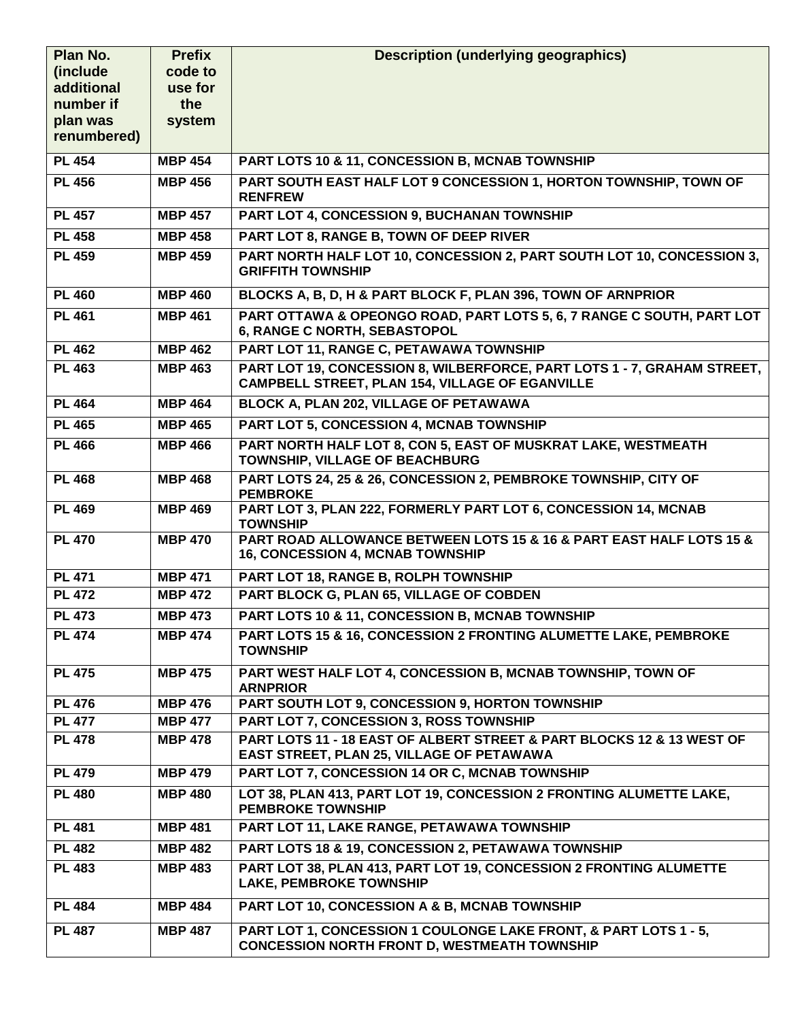| Plan No.      | <b>Prefix</b>  | <b>Description (underlying geographics)</b>                                                                                       |
|---------------|----------------|-----------------------------------------------------------------------------------------------------------------------------------|
| (include      | code to        |                                                                                                                                   |
| additional    | use for        |                                                                                                                                   |
| number if     | the            |                                                                                                                                   |
| plan was      | system         |                                                                                                                                   |
| renumbered)   |                |                                                                                                                                   |
| <b>PL 454</b> | <b>MBP 454</b> | PART LOTS 10 & 11, CONCESSION B, MCNAB TOWNSHIP                                                                                   |
| <b>PL 456</b> | <b>MBP 456</b> | PART SOUTH EAST HALF LOT 9 CONCESSION 1, HORTON TOWNSHIP, TOWN OF<br><b>RENFREW</b>                                               |
| <b>PL 457</b> | <b>MBP 457</b> | PART LOT 4, CONCESSION 9, BUCHANAN TOWNSHIP                                                                                       |
| <b>PL 458</b> | <b>MBP 458</b> | PART LOT 8, RANGE B, TOWN OF DEEP RIVER                                                                                           |
| <b>PL 459</b> | <b>MBP 459</b> | PART NORTH HALF LOT 10, CONCESSION 2, PART SOUTH LOT 10, CONCESSION 3,<br><b>GRIFFITH TOWNSHIP</b>                                |
| <b>PL 460</b> | <b>MBP 460</b> | BLOCKS A, B, D, H & PART BLOCK F, PLAN 396, TOWN OF ARNPRIOR                                                                      |
| <b>PL 461</b> | <b>MBP 461</b> | PART OTTAWA & OPEONGO ROAD, PART LOTS 5, 6, 7 RANGE C SOUTH, PART LOT<br>6, RANGE C NORTH, SEBASTOPOL                             |
| <b>PL 462</b> | <b>MBP 462</b> | PART LOT 11, RANGE C, PETAWAWA TOWNSHIP                                                                                           |
| <b>PL 463</b> | <b>MBP 463</b> | PART LOT 19, CONCESSION 8, WILBERFORCE, PART LOTS 1 - 7, GRAHAM STREET,<br><b>CAMPBELL STREET, PLAN 154, VILLAGE OF EGANVILLE</b> |
| <b>PL 464</b> | <b>MBP 464</b> | BLOCK A, PLAN 202, VILLAGE OF PETAWAWA                                                                                            |
| <b>PL 465</b> | <b>MBP 465</b> | <b>PART LOT 5, CONCESSION 4, MCNAB TOWNSHIP</b>                                                                                   |
| <b>PL 466</b> | <b>MBP 466</b> | PART NORTH HALF LOT 8, CON 5, EAST OF MUSKRAT LAKE, WESTMEATH<br>TOWNSHIP, VILLAGE OF BEACHBURG                                   |
| <b>PL 468</b> | <b>MBP 468</b> | PART LOTS 24, 25 & 26, CONCESSION 2, PEMBROKE TOWNSHIP, CITY OF<br><b>PEMBROKE</b>                                                |
| <b>PL 469</b> | <b>MBP 469</b> | PART LOT 3, PLAN 222, FORMERLY PART LOT 6, CONCESSION 14, MCNAB<br><b>TOWNSHIP</b>                                                |
| <b>PL 470</b> | <b>MBP 470</b> | PART ROAD ALLOWANCE BETWEEN LOTS 15 & 16 & PART EAST HALF LOTS 15 &<br>16, CONCESSION 4, MCNAB TOWNSHIP                           |
| <b>PL 471</b> | <b>MBP 471</b> | PART LOT 18, RANGE B, ROLPH TOWNSHIP                                                                                              |
| <b>PL 472</b> | <b>MBP 472</b> | PART BLOCK G, PLAN 65, VILLAGE OF COBDEN                                                                                          |
| <b>PL 473</b> | <b>MBP 473</b> | PART LOTS 10 & 11, CONCESSION B, MCNAB TOWNSHIP                                                                                   |
| <b>PL 474</b> | <b>MBP 474</b> | PART LOTS 15 & 16, CONCESSION 2 FRONTING ALUMETTE LAKE, PEMBROKE<br><b>TOWNSHIP</b>                                               |
| <b>PL 475</b> | <b>MBP 475</b> | PART WEST HALF LOT 4, CONCESSION B, MCNAB TOWNSHIP, TOWN OF<br><b>ARNPRIOR</b>                                                    |
| <b>PL 476</b> | <b>MBP 476</b> | PART SOUTH LOT 9, CONCESSION 9, HORTON TOWNSHIP                                                                                   |
| <b>PL 477</b> | <b>MBP 477</b> | PART LOT 7, CONCESSION 3, ROSS TOWNSHIP                                                                                           |
| <b>PL 478</b> | <b>MBP 478</b> | PART LOTS 11 - 18 EAST OF ALBERT STREET & PART BLOCKS 12 & 13 WEST OF<br>EAST STREET, PLAN 25, VILLAGE OF PETAWAWA                |
| <b>PL 479</b> | <b>MBP 479</b> | PART LOT 7, CONCESSION 14 OR C, MCNAB TOWNSHIP                                                                                    |
| <b>PL 480</b> | <b>MBP 480</b> | LOT 38, PLAN 413, PART LOT 19, CONCESSION 2 FRONTING ALUMETTE LAKE,<br><b>PEMBROKE TOWNSHIP</b>                                   |
| <b>PL 481</b> | <b>MBP 481</b> | PART LOT 11, LAKE RANGE, PETAWAWA TOWNSHIP                                                                                        |
| <b>PL 482</b> | <b>MBP 482</b> | PART LOTS 18 & 19, CONCESSION 2, PETAWAWA TOWNSHIP                                                                                |
| <b>PL 483</b> | <b>MBP 483</b> | PART LOT 38, PLAN 413, PART LOT 19, CONCESSION 2 FRONTING ALUMETTE<br><b>LAKE, PEMBROKE TOWNSHIP</b>                              |
| <b>PL 484</b> | <b>MBP 484</b> | PART LOT 10, CONCESSION A & B, MCNAB TOWNSHIP                                                                                     |
| <b>PL 487</b> | <b>MBP 487</b> | PART LOT 1, CONCESSION 1 COULONGE LAKE FRONT, & PART LOTS 1 - 5,                                                                  |
|               |                | <b>CONCESSION NORTH FRONT D, WESTMEATH TOWNSHIP</b>                                                                               |